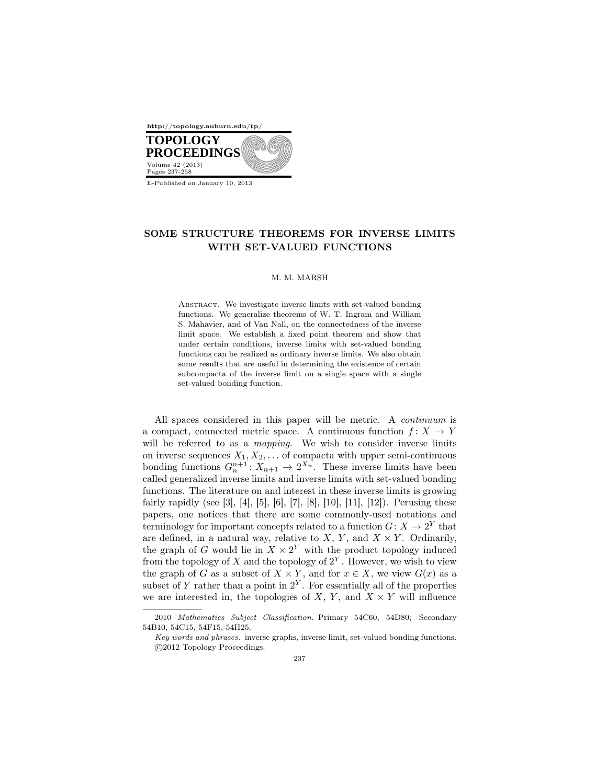

E-Published on January 10, 2013

# SOME STRUCTURE THEOREMS FOR INVERSE LIMITS WITH SET-VALUED FUNCTIONS

#### M. M. MARSH

ABSTRACT. We investigate inverse limits with set-valued bonding functions. We generalize theorems of W. T. Ingram and William S. Mahavier, and of Van Nall, on the connectedness of the inverse limit space. We establish a fixed point theorem and show that under certain conditions, inverse limits with set-valued bonding functions can be realized as ordinary inverse limits. We also obtain some results that are useful in determining the existence of certain subcompacta of the inverse limit on a single space with a single set-valued bonding function.

All spaces considered in this paper will be metric. A *continuum* is a compact, connected metric space. A continuous function  $f: X \to Y$ will be referred to as a *mapping*. We wish to consider inverse limits on inverse sequences *X*1*, X*2*, . . .* of compacta with upper semi-continuous bonding functions  $G_n^{n+1}$ :  $X_{n+1} \to 2^{X_n}$ . These inverse limits have been called generalized inverse limits and inverse limits with set-valued bonding functions. The literature on and interest in these inverse limits is growing fairly rapidly (see [3], [4], [5], [6], [7], [8], [10], [11], [12]). Perusing these papers, one notices that there are some commonly-used notations and terminology for important concepts related to a function  $G: X \to 2^Y$  that are defined, in a natural way, relative to  $X, Y$ , and  $X \times Y$ . Ordinarily, the graph of *G* would lie in  $X \times 2^Y$  with the product topology induced from the topology of  $X$  and the topology of  $2^Y$ . However, we wish to view the graph of *G* as a subset of  $X \times Y$ , and for  $x \in X$ , we view  $G(x)$  as a subset of  $Y$  rather than a point in  $2^Y$ . For essentially all of the properties we are interested in, the topologies of  $X$ ,  $Y$ , and  $X \times Y$  will influence

<sup>2010</sup> *Mathematics Subject Classification.* Primary 54C60, 54D80; Secondary 54B10, 54C15, 54F15, 54H25.

*Key words and phrases.* inverse graphs, inverse limit, set-valued bonding functions. *⃝*c 2012 Topology Proceedings.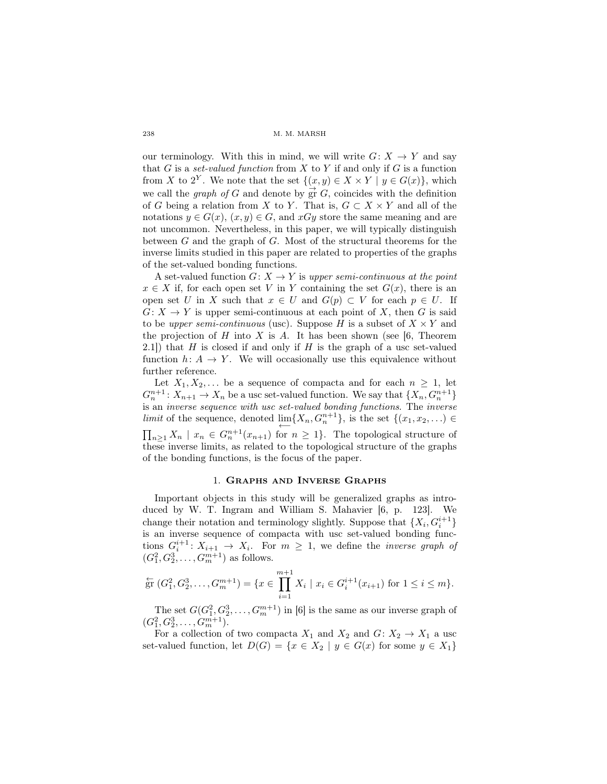our terminology. With this in mind, we will write  $G: X \rightarrow Y$  and say that  $G$  is a *set-valued function* from  $X$  to  $Y$  if and only if  $G$  is a function from *X* to 2<sup>*Y*</sup>. We note that the set  $\{(x, y) \in X \times Y \mid y \in G(x)\}$ , which we call the *graph of G* and denote by  $\vec{gr} G$ , coincides with the definition of *G* being a relation from *X* to *Y*. That is,  $G \subset X \times Y$  and all of the notations  $y \in G(x)$ ,  $(x, y) \in G$ , and  $xGy$  store the same meaning and are not uncommon. Nevertheless, in this paper, we will typically distinguish between *G* and the graph of *G*. Most of the structural theorems for the inverse limits studied in this paper are related to properties of the graphs of the set-valued bonding functions.

A set-valued function  $G: X \to Y$  is *upper semi-continuous at the point*  $x \in X$  if, for each open set *V* in *Y* containing the set  $G(x)$ , there is an open set *U* in *X* such that  $x \in U$  and  $G(p) \subset V$  for each  $p \in U$ . If  $G: X \to Y$  is upper semi-continuous at each point of X, then G is said to be *upper semi-continuous* (usc). Suppose *H* is a subset of  $X \times Y$  and the projection of  $H$  into  $X$  is  $A$ . It has been shown (see [6, Theorem 2.1]) that *H* is closed if and only if *H* is the graph of a usc set-valued function  $h: A \to Y$ . We will occasionally use this equivalence without further reference.

Let  $X_1, X_2, \ldots$  be a sequence of compacta and for each  $n \geq 1$ , let  $G_n^{n+1}: X_{n+1} \to X_n$  be a usc set-valued function. We say that  $\{X_n, G_n^{n+1}\}\$ is an *inverse sequence with usc set-valued bonding functions*. The *inverse limit* of the sequence, denoted  $\lim_{n} \{X_n, G_n^{n+1}\}\$ , is the set  $\{(x_1, x_2, \ldots) \in$  $\prod_{n\geq 1} X_n$  *|*  $x_n \in G_n^{n+1}(x_{n+1})$  for  $n \geq 1$ }. The topological structure of these inverse limits, as related to the topological structure of the graphs of the bonding functions, is the focus of the paper.

### 1. Graphs and Inverse Graphs

Important objects in this study will be generalized graphs as introduced by W. T. Ingram and William S. Mahavier [6, p. 123]. We change their notation and terminology slightly. Suppose that  $\{X_i, G_i^{i+1}\}$ is an inverse sequence of compacta with usc set-valued bonding functions  $G_i^{i+1}: X_{i+1} \to X_i$ . For  $m \geq 1$ , we define the *inverse graph of*  $(G_1^2, G_2^3, \ldots, G_m^{m+1})$  as follows.

$$
\stackrel{\leftarrow}{\text{gr}}(G_1^2, G_2^3, \dots, G_m^{m+1}) = \{x \in \prod_{i=1}^{m+1} X_i \mid x_i \in G_i^{i+1}(x_{i+1}) \text{ for } 1 \le i \le m\}.
$$

The set  $G(G_1^2, G_2^3, \ldots, G_m^{m+1})$  in [6] is the same as our inverse graph of  $(G_1^2, G_2^3, \ldots, G_m^{m+1}).$ 

For a collection of two compacta  $X_1$  and  $X_2$  and  $G: X_2 \to X_1$  a usc set-valued function, let  $D(G) = \{x \in X_2 \mid y \in G(x) \text{ for some } y \in X_1\}$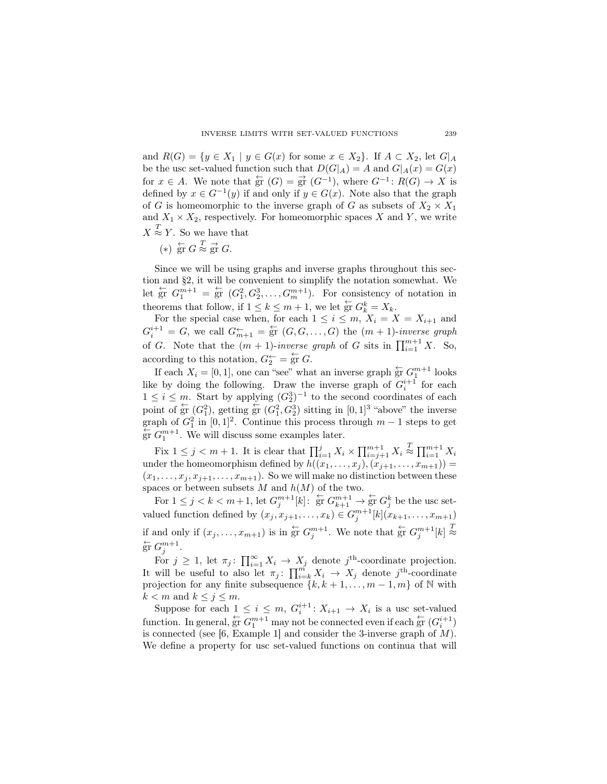and  $R(G) = \{y \in X_1 \mid y \in G(x) \text{ for some } x \in X_2\}$ . If  $A \subset X_2$ , let  $G|_A$ be the usc set-valued function such that  $D(G|_A) = A$  and  $G|_A(x) = G(x)$ for  $x \in A$ . We note that  $\frac{c}{gr}(G) = \frac{c}{gr}(G^{-1})$ , where  $G^{-1} \colon R(G) \to X$  is defined by  $x \in G^{-1}(y)$  if and only if  $y \in G(x)$ . Note also that the graph of *G* is homeomorphic to the inverse graph of *G* as subsets of  $X_2 \times X_1$ and  $X_1 \times X_2$ , respectively. For homeomorphic spaces X and Y, we write  $X \stackrel{T}{\approx} Y$ . So we have that

- - $(*)$   $\frac{\leftarrow}{\text{gr}} G \stackrel{T}{\approx} \frac{\rightarrow}{\text{gr}} G.$

Since we will be using graphs and inverse graphs throughout this section and §2, it will be convenient to simplify the notation somewhat. We let  $\overleftarrow{g}$   $G_1^{m+1} = \overleftarrow{g}$   $(G_1^2, G_2^3, \ldots, G_m^{m+1})$ . For consistency of notation in theorems that follow, if  $1 \leq k \leq m+1$ , we let  $\overleftarrow{gr} G_k^k = X_k$ .

For the special case when, for each  $1 \leq i \leq m$ ,  $X_i = X = X_{i+1}$  and  $G_i^{i+1} = G$ , we call  $G_{m+1}^{\leftarrow} = \text{gr } (G, G, \ldots, G)$  the  $(m+1)$ -*inverse graph* of *G*. Note that the  $(m + 1)$ -*inverse graph* of *G* sits in  $\prod_{i=1}^{m+1} X$ . So, according to this notation,  $G_2^{\leftarrow} = \overleftarrow{gr} G$ .

If each  $X_i = [0, 1]$ , one can "see" what an inverse graph  $\overleftarrow{gr} G_1^{m+1}$  looks like by doing the following. Draw the inverse graph of  $G_i^{i+1}$  for each 1 ≤ *i* ≤ *m*. Start by applying  $(G_2^3)^{-1}$  to the second coordinates of each point of  $\frac{L}{2\Gamma}$  ( $G_1^2$ ), getting  $\frac{L}{2\Gamma}$  ( $G_1^2$ ,  $G_2^3$ ) sitting in [0, 1]<sup>3</sup> "above" the inverse graph of  $G_1^2$  in  $[0,1]^2$ . Continue this process through  $m-1$  steps to get  $\frac{C}{\text{gr}} G_1^{m+1}$ . We will discuss some examples later.

Fix  $1 \leq j \leq m+1$ . It is clear that  $\prod_{i=1}^{j} X_i \times \prod_{i=j+1}^{m+1} X_i \stackrel{T}{\approx} \prod_{i=1}^{m+1} X_i$ under the homeomorphism defined by  $h((x_1, \ldots, x_i), (\dot{x}_{i+1}, \ldots, x_{m+1})) =$  $(x_1, \ldots, x_j, x_{j+1}, \ldots, x_{m+1})$ . So we will make no distinction between these spaces or between subsets  $M$  and  $h(M)$  of the two.

For  $1 \leq j < k < m+1$ , let  $G_j^{m+1}[k]$ :  $\overleftarrow{gr} G_{k+1}^{m+1} \rightarrow \overleftarrow{gr} G_j^k$  be the usc setvalued function defined by  $(x_j, x_{j+1}, \ldots, x_k) \in G_j^{m+1}[k](x_{k+1}, \ldots, x_{m+1})$ if and only if  $(x_j, \ldots, x_{m+1})$  is in  $\overleftarrow{gr} G_j^{m+1}$ . We note that  $\overleftarrow{gr} G_j^{m+1}[k] \stackrel{T}{\approx}$  $\overleftarrow{\mathrm{gr}} G_j^{m+1}$ .

For  $j \geq 1$ , let  $\pi_j$ :  $\prod_{i=1}^{\infty} X_i \to X_j$  denote  $j^{\text{th}}$ -coordinate projection. It will be useful to also let  $\pi_j$ :  $\prod_{i=k}^m X_i \to X_j$  denote  $j^{\text{th}}$ -coordinate projection for any finite subsequence  $\{k, k+1, \ldots, m-1, m\}$  of N with  $k < m$  and  $k \leq j \leq m$ .

Suppose for each  $1 \leq i \leq m$ ,  $G_i^{i+1}$ :  $X_{i+1} \to X_i$  is a usc set-valued function. In general,  $\frac{L}{gr} G_1^{m+1}$  may not be connected even if each  $\frac{L}{gr} (G_i^{i+1})$ is connected (see [6, Example 1] and consider the 3-inverse graph of *M*). We define a property for usc set-valued functions on continua that will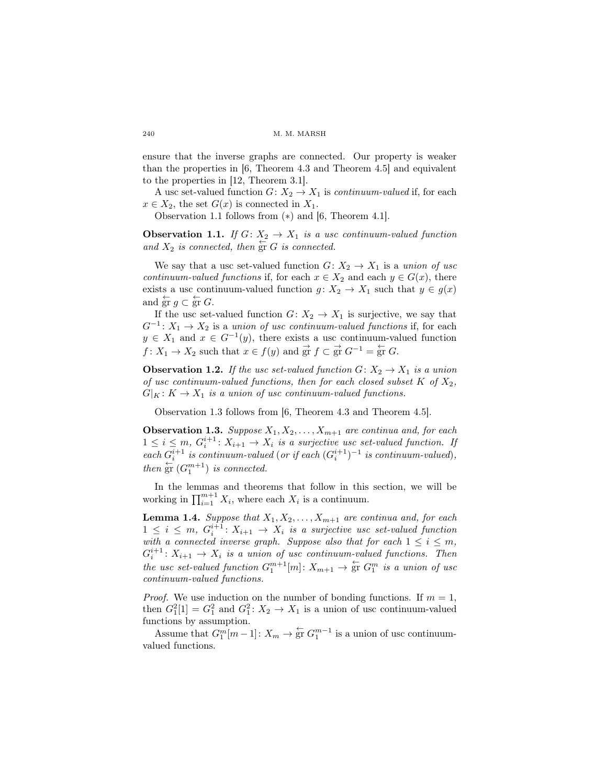ensure that the inverse graphs are connected. Our property is weaker than the properties in [6, Theorem 4.3 and Theorem 4.5] and equivalent to the properties in [12, Theorem 3.1].

A usc set-valued function  $G: X_2 \to X_1$  is *continuum-valued* if, for each  $x \in X_2$ , the set  $G(x)$  is connected in  $X_1$ .

Observation 1.1 follows from (*∗*) and [6, Theorem 4.1].

**Observation 1.1.** *If*  $G: X_2 \to X_1$  *is a usc continuum-valued function* and  $X_2$  *is connected, then*  $\overleftarrow{gr}$  *G is connected.* 

We say that a usc set-valued function  $G: X_2 \to X_1$  is a *union of usc continuum-valued functions* if, for each  $x \in X_2$  and each  $y \in G(x)$ , there exists a usc continuum-valued function  $g: X_2 \to X_1$  such that  $y \in g(x)$ and  $\overleftarrow{\text{gr}} g \subset \overleftarrow{\text{gr}} G$ .

If the usc set-valued function  $G: X_2 \to X_1$  is surjective, we say that  $G^{-1}: X_1 \to X_2$  is a *union of usc continuum-valued functions* if, for each  $y \in X_1$  and  $x \in G^{-1}(y)$ , there exists a usc continuum-valued function *f* :  $X_1 \to X_2$  such that  $x \in f(y)$  and  $\overrightarrow{gr} f \subset \overrightarrow{gr} G^{-1} = \overleftarrow{gr} G$ .

**Observation 1.2.** *If the usc set-valued function*  $G: X_2 \to X_1$  *is a union of usc continuum-valued functions, then for each closed subset*  $K$  *of*  $X_2$ *,*  $G|_K: K \to X_1$  *is a union of usc continuum-valued functions.* 

Observation 1.3 follows from [6, Theorem 4.3 and Theorem 4.5].

**Observation 1.3.** *Suppose*  $X_1, X_2, \ldots, X_{m+1}$  *are continua and, for each*  $1 \leq i \leq m$ ,  $G_i^{i+1}$ :  $X_{i+1} \to X_i$  *is a surjective usc set-valued function. If*  $\int$  *each*  $G_i^{i+1}$  *is continuum-valued* (*or if each*  $(G_i^{i+1})^{-1}$  *is continuum-valued*)*, then*  $\overleftarrow{gr}$   $(G_1^{m+1})$  *is connected.* 

In the lemmas and theorems that follow in this section, we will be working in  $\prod_{i=1}^{m+1} X_i$ , where each  $X_i$  is a continuum.

**Lemma 1.4.** *Suppose that*  $X_1, X_2, \ldots, X_{m+1}$  *are continua and, for each*  $1 \leq i \leq m$ ,  $G_i^{i+1}$ :  $X_{i+1} \to X_i$  *is a surjective usc set-valued function with a connected inverse graph. Suppose also that for each*  $1 \leq i \leq m$ ,  $G_i^{i+1}: X_{i+1} \to X_i$  *is a union of usc continuum-valued functions. Then the usc set-valued function*  $G_1^{m+1}[m]: X_{m+1} \to \text{gr } G_1^m$  *is a union of usc continuum-valued functions.*

*Proof.* We use induction on the number of bonding functions. If  $m = 1$ , then  $G_1^2[1] = G_1^2$  and  $G_1^2: X_2 \to X_1$  is a union of usc continuum-valued functions by assumption.

Assume that  $G_1^m[m-1]: X_m \to \mathop{\text{gr}}\limits^{\leftarrow} G_1^{m-1}$  is a union of usc continuumvalued functions.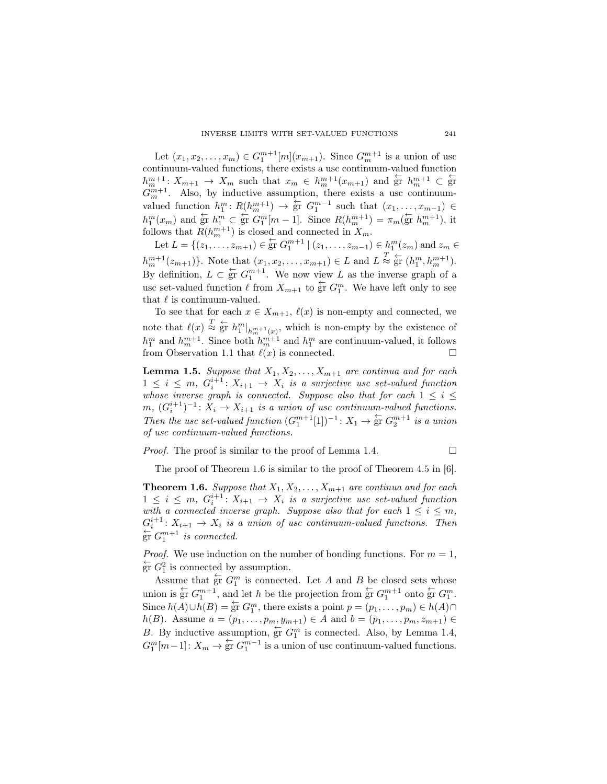Let  $(x_1, x_2, \ldots, x_m) \in G_1^{m+1}[m](x_{m+1})$ . Since  $G_m^{m+1}$  is a union of usc continuum-valued functions, there exists a usc continuum-valued function  $h_m^{m+1}: X_{m+1} \to X_m$  such that  $x_m \in h_m^{m+1}(x_{m+1})$  and  $\overleftarrow{\text{gr}} h_m^{m+1} \subset \overleftarrow{\text{gr}}$  $G_m^{m+1}$ . Also, by inductive assumption, there exists a usc continuumvalued function  $h_1^m$ :  $R(h_m^{m+1}) \to \frac{L}{S}$   $G_1^{m-1}$  such that  $(x_1, \ldots, x_{m-1}) \in$  $h_1^m(x_m)$  and  $\overleftarrow{\text{gr}} h_1^m \subset \overleftarrow{\text{gr}} G_1^m[m-1]$ . Since  $R(h_m^{m+1}) = \pi_m(\overleftarrow{\text{gr}} h_m^{m+1}),$  it follows that  $R(h_m^{m+1})$  is closed and connected in  $X_m$ .

Let  $L = \{(z_1, \ldots, z_{m+1}) \in \text{gr } G_1^{m+1} \mid (z_1, \ldots, z_{m-1}) \in h_1^m(z_m) \text{ and } z_m \in$  $h_m^{m+1}(z_{m+1})\}$ . Note that  $(x_1, x_2, ..., x_{m+1}) \in L$  and  $L \stackrel{T}{\approx} \stackrel{\leftarrow}{\text{gr}} (h_1^m, h_m^{m+1})$ . By definition,  $L \subset \text{gr } G_1^{m+1}$ . We now view  $L$  as the inverse graph of a usc set-valued function  $\ell$  from  $X_{m+1}$  to  $\overleftarrow{gr} G_1^m$ . We have left only to see that *ℓ* is continuum-valued.

To see that for each  $x \in X_{m+1}$ ,  $\ell(x)$  is non-empty and connected, we note that  $\ell(x) \stackrel{T}{\approx} \stackrel{L}{\text{gr}} h_1^m|_{h_m^{m+1}(x)}$ , which is non-empty by the existence of  $h_1^m$  and  $h_m^{m+1}$ . Since both  $h_m^{m+1}$  and  $h_1^m$  are continuum-valued, it follows from Observation 1.1 that  $\ell(x)$  is connected.

**Lemma 1.5.** *Suppose that*  $X_1, X_2, \ldots, X_{m+1}$  *are continua and for each*  $1 \leq i \leq m$ ,  $G_i^{i+1}$ :  $X_{i+1} \to X_i$  *is a surjective usc set-valued function whose inverse graph is connected. Suppose also that for each*  $1 \leq i \leq j$ *m*,  $(G_i^{i+1})^{-1}$ :  $X_i \to X_{i+1}$  *is a union of usc continuum-valued functions. Then the usc set-valued function*  $(G_1^{m+1}[1])^{-1}$ :  $X_1 \rightarrow \text{gr } G_2^{m+1}$  *is a union of usc continuum-valued functions.*

*Proof.* The proof is similar to the proof of Lemma 1.4.  $\Box$ 

The proof of Theorem 1.6 is similar to the proof of Theorem 4.5 in [6].

**Theorem 1.6.** *Suppose that*  $X_1, X_2, \ldots, X_{m+1}$  *are continua and for each*  $1 \leq i \leq m$ ,  $G_i^{i+1}$ :  $X_{i+1} \to X_i$  *is a surjective usc set-valued function with a connected inverse graph. Suppose also that for each*  $1 \leq i \leq m$ ,  $G_i^{i+1}: X_{i+1} \to X_i$  *is a union of usc continuum-valued functions. Then*  $\sum_{n=1}^{\infty} G_1^{m+1}$  *is connected.* 

*Proof.* We use induction on the number of bonding functions. For  $m = 1$ ,  $\frac{1}{2}$  G<sub>1</sub><sup>2</sup> is connected by assumption.

Assume that  $\frac{L}{gr} G_1^m$  is connected. Let *A* and *B* be closed sets whose union is  $\overleftarrow{gr} G_1^{m+1}$ , and let *h* be the projection from  $\overleftarrow{gr} G_1^{m+1}$  onto  $\overleftarrow{gr} G_1^m$ . Since  $h(A) \cup h(B) = \frac{L}{2}$  *G*<sup>*m*</sup>, there exists a point  $p = (p_1, \ldots, p_m) \in h(A) \cap$ *h*(*B*). Assume *a* =  $(p_1, \ldots, p_m, y_{m+1}) \in A$  and *b* =  $(p_1, \ldots, p_m, z_{m+1}) \in A$ *B*. By inductive assumption,  $\frac{1}{S}$  *G*<sup>*m*</sup> is connected. Also, by Lemma 1.4,  $G_1^m[m-1]: X_m \to \overleftarrow{\text{gr}} G_1^{m-1}$  is a union of usc continuum-valued functions.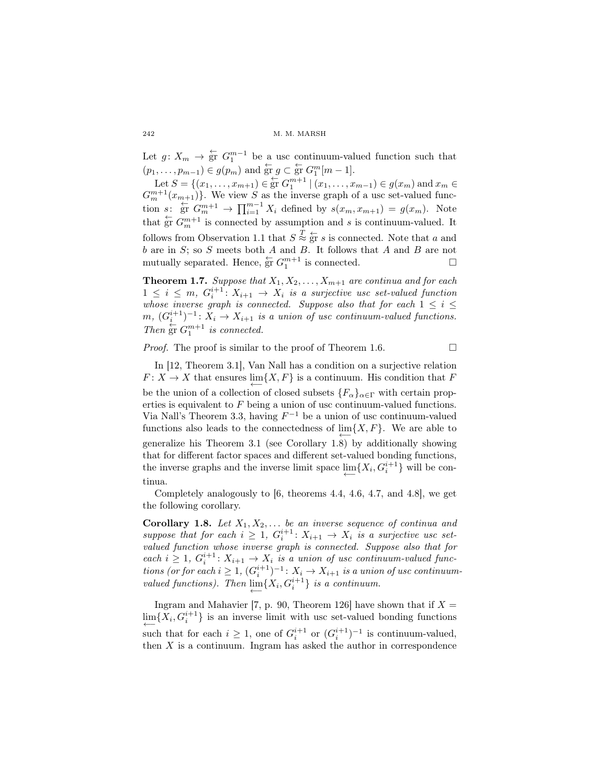Let  $g: X_m \to \mathfrak{F}$   $G_1^{m-1}$  be a usc continuum-valued function such that  $(p_1, \ldots, p_{m-1}) \in g(p_m)$  and  $\overleftarrow{gr} g \subset \overleftarrow{gr} G_1^m[m-1].$ 

Let  $S = \{(x_1, \ldots, x_{m+1}) \in \text{gr } G_1^{m+1} \mid (x_1, \ldots, x_{m-1}) \in g(x_m) \text{ and } x_m \in G_1\}$  $G_m^{m+1}(x_{m+1})$ . We view *S* as the inverse graph of a usc set-valued function *s*:  $\frac{L}{\text{gr}} G_m^{m+1} \to \prod_{i=1}^{m-1} X_i$  defined by  $s(x_m, x_{m+1}) = g(x_m)$ . Note that  $\frac{C}{\text{gr}} G_m^{m+1}$  is connected by assumption and *s* is continuum-valued. It follows from Observation 1.1 that  $S \stackrel{T}{\approx} \stackrel{\leftarrow}{\text{gr}} s$  is connected. Note that *a* and *b* are in *S*; so *S* meets both *A* and *B*. It follows that *A* and *B* are not mutually separated. Hence,  $\overleftarrow{gr} G_1^{m+1}$  is connected.

**Theorem 1.7.** *Suppose that*  $X_1, X_2, \ldots, X_{m+1}$  *are continua and for each*  $1 \leq i \leq m$ ,  $G_i^{i+1}$ :  $X_{i+1} \to X_i$  *is a surjective usc set-valued function whose inverse graph is connected. Suppose also that for each*  $1 \leq i \leq$ *m*,  $(G_i^{i+1})^{-1}$ :  $X_i \to X_{i+1}$  *is a union of usc continuum-valued functions. Then*  $\overline{gr} G_1^{m+1}$  *is connected.* 

*Proof.* The proof is similar to the proof of Theorem 1.6.

In [12, Theorem 3.1], Van Nall has a condition on a surjective relation  $F: X \to X$  that ensures  $\lim\{X, F\}$  is a continuum. His condition that *F* be the union of a collection of closed subsets  ${F_\alpha}_{\alpha \in \Gamma}$  with certain properties is equivalent to *F* being a union of usc continuum-valued functions. Via Nall's Theorem 3.3, having *F <sup>−</sup>*<sup>1</sup> be a union of usc continuum-valued functions also leads to the connectedness of  $\lim\{X,F\}$ . We are able to *←−* generalize his Theorem 3.1 (see Corollary 1.8) by additionally showing that for different factor spaces and different set-valued bonding functions, the inverse graphs and the inverse limit space  $\lim_{n \to \infty} \{X_i, G_i^{i+1}\}\$  will be con-*←−* tinua.

Completely analogously to [6, theorems 4.4, 4.6, 4.7, and 4.8], we get the following corollary.

**Corollary 1.8.** Let  $X_1, X_2, \ldots$  be an inverse sequence of continua and *suppose that for each*  $i \geq 1$ ,  $G_i^{i+1}$ :  $X_{i+1} \to X_i$  *is a surjective usc setvalued function whose inverse graph is connected. Suppose also that for each*  $i \geq 1$ ,  $G_i^{i+1}$ :  $X_{i+1} \to X_i$  *is a union of usc continuum-valued functions (or for each*  $i \geq 1$ ,  $(G_i^{i+1})^{-1}$ :  $X_i \to X_{i+1}$  *is a union of usc continuumvalued functions). Then*  $\lim_{t \to \infty} \{X_i, G_i^{i+1}\}$  *is a continuum.* 

Ingram and Mahavier [7, p. 90, Theorem 126] have shown that if  $X =$  $\lim_{i \to \infty} \{X_i, G_i^{i+1}\}\$ is an inverse limit with usc set-valued bonding functions  $\leftarrow$  such that for each *i* ≥ 1, one of  $G_i^{i+1}$  or  $(G_i^{i+1})^{-1}$  is continuum-valued, then  $X$  is a continuum. Ingram has asked the author in correspondence

*←−*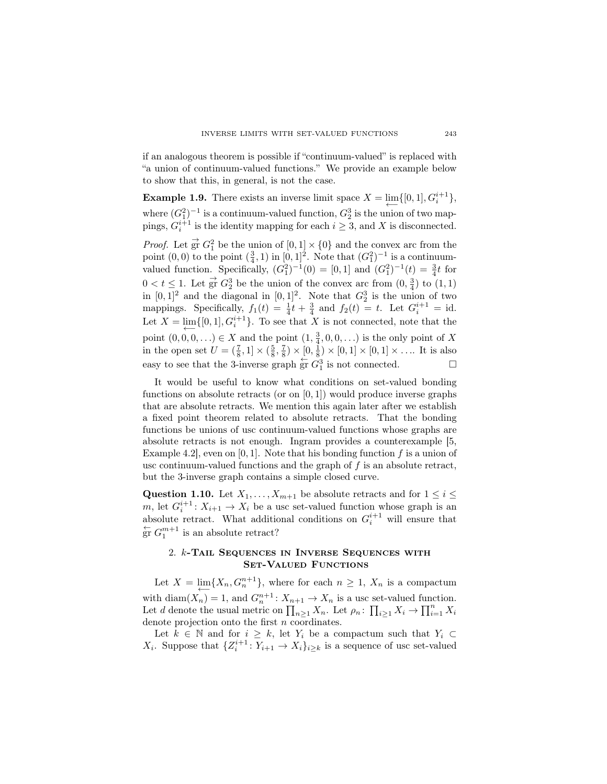if an analogous theorem is possible if "continuum-valued" is replaced with "a union of continuum-valued functions." We provide an example below to show that this, in general, is not the case.

**Example 1.9.** There exists an inverse limit space  $X = \lim_{n \to \infty} \{ [0, 1], G_i^{i+1} \},$ where  $(G_1^2)^{-1}$  is a continuum-valued function,  $G_2^3$  is the union of two mappings,  $G_i^{i+1}$  is the identity mapping for each  $i \geq 3$ , and X is disconnected.

*Proof.* Let  $\vec{gr} G_1^2$  be the union of  $[0,1] \times \{0\}$  and the convex arc from the point  $(0,0)$  to the point  $(\frac{3}{4},1)$  in  $[0,1]^2$ . Note that  $(G_1^2)^{-1}$  is a continuumvalued function. Specifically,  $(G_1^2)^{-1}(0) = [0,1]$  and  $(G_1^2)^{-1}(t) = \frac{3}{4}t$  for  $0 < t \leq 1$ . Let  $\overrightarrow{gr} G_2^3$  be the union of the convex arc from  $(0, \frac{3}{4})$  to  $(1, 1)$ in  $[0, 1]^2$  and the diagonal in  $[0, 1]^2$ . Note that  $G_2^3$  is the union of two mappings. Specifically,  $f_1(t) = \frac{1}{4}t + \frac{3}{4}$  and  $f_2(t) = t$ . Let  $G_i^{i+1} = id$ . Let  $X = \lim_{i} \{ [0, 1], G_i^{i+1} \}.$  To see that *X* is not connected, note that the point  $(0, 0, 0, ...) \in X$  and the point  $(1, \frac{3}{4}, 0, 0, ...)$  is the only point of *X* in the open set  $U = (\frac{7}{8}, 1] \times (\frac{5}{8}, \frac{7}{8}) \times [0, \frac{1}{8}) \times [0, 1] \times [0, 1] \times \dots$  It is also easy to see that the 3-inverse graph  $\overleftarrow{gr} G_1^3$  is not connected.

It would be useful to know what conditions on set-valued bonding functions on absolute retracts (or on [0*,* 1]) would produce inverse graphs that are absolute retracts. We mention this again later after we establish a fixed point theorem related to absolute retracts. That the bonding functions be unions of usc continuum-valued functions whose graphs are absolute retracts is not enough. Ingram provides a counterexample [5, Example 4.2], even on [0*,* 1]. Note that his bonding function *f* is a union of usc continuum-valued functions and the graph of *f* is an absolute retract, but the 3-inverse graph contains a simple closed curve.

Question 1.10. Let  $X_1, \ldots, X_{m+1}$  be absolute retracts and for  $1 \leq i \leq n$ *m*, let  $G_i^{i+1}$ :  $X_{i+1} \to X_i$  be a usc set-valued function whose graph is an absolute retract. What additional conditions on  $G_i^{i+1}$  will ensure that  $\frac{C}{\text{gr}} G_1^{m+1}$  is an absolute retract?

## 2. *k*-Tail Sequences in Inverse Sequences with SET-VALUED FUNCTIONS

Let  $X = \lim_{n \to \infty} \{X_n, G_n^{n+1}\}\$ , where for each  $n \geq 1$ ,  $X_n$  is a compactum with diam $(X_n) = 1$ , and  $G_n^{n+1}$ :  $X_{n+1} \to X_n$  is a usc set-valued function. Let *d* denote the usual metric on  $\prod_{n\geq 1} X_n$ . Let  $\rho_n: \prod_{i\geq 1} X_i \to \prod_{i=1}^n X_i$ denote projection onto the first *n* coordinates.

Let  $k \in \mathbb{N}$  and for  $i \geq k$ , let  $Y_i$  be a compactum such that  $Y_i \subset$ *X*<sup>*i*</sup>. Suppose that  ${Z_i^{i+1}: Y_{i+1} \to X_i}_{i \geq k}$  is a sequence of usc set-valued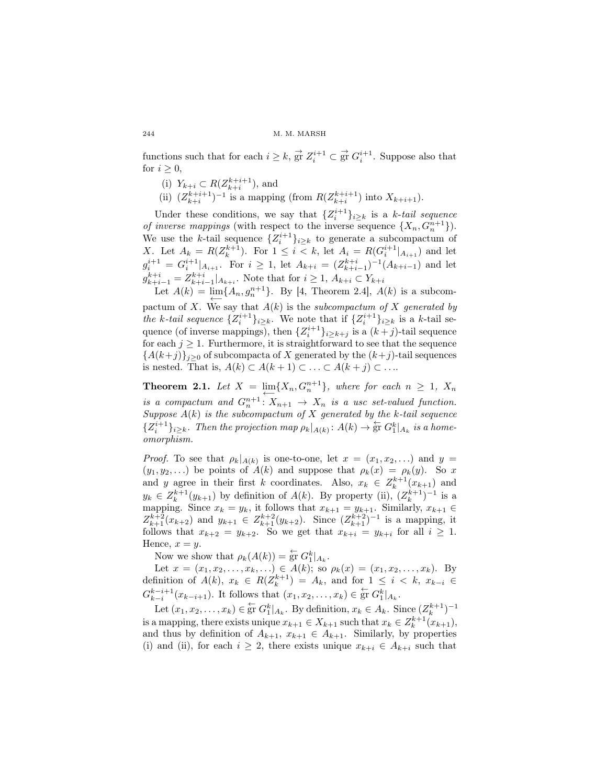functions such that for each  $i \geq k$ ,  $\overrightarrow{gr} Z_i^{i+1} \subset \overrightarrow{gr} G_i^{i+1}$ . Suppose also that for  $i \geq 0$ ,

- (i)  $Y_{k+i} \subset R(Z_{k+i}^{k+i+1}),$  and
- (ii)  $(Z_{k+i}^{k+i+1})^{-1}$  is a mapping (from  $R(Z_{k+i}^{k+i+1})$  into  $X_{k+i+1}$ ).

Under these conditions, we say that  $\{Z_i^{i+1}\}_{i\geq k}$  is a *k*-*tail sequence of inverse mappings* (with respect to the inverse sequence  $\{X_n, G_n^{n+1}\}\$ ). We use the *k*-tail sequence  $\{Z_i^{i+1}\}_{i \geq k}$  to generate a subcompactum of *X*. Let  $A_k = R(Z_k^{k+1})$ . For  $1 \leq i < k$ , let  $A_i = R(G_i^{i+1}|_{A_{i+1}})$  and let  $g_i^{i+1} = G_i^{i+1}|_{A_{i+1}}$ . For  $i \geq 1$ , let  $A_{k+i} = (Z_{k+i-1}^{k+i})^{-1}(A_{k+i-1})$  and let  $g_{k+i-1}^{k+i} = Z_{k+i-1}^{k+i} |_{A_{k+i}}$ . Note that for  $i \geq 1, A_{k+i} \subset Y_{k+i}$ 

Let  $A(k) = \lim_{n \to \infty} \{A_n, g_n^{n+1}\}.$  By [4, Theorem 2.4],  $A(k)$  is a subcompactum of *X*. We say that  $A(k)$  is the *subcompactum of X* generated by *the k*-tail sequence  $\{Z_i^{i+1}\}_{i \geq k}$ . We note that if  $\{Z_i^{i+1}\}_{i \geq k}$  is a *k*-tail sequence (of inverse mappings), then  ${Z_i^{i+1}}_{i \geq k+j}$  is a  $(k+j)$ -tail sequence for each  $j \geq 1$ . Furthermore, it is straightforward to see that the sequence  ${A(k+j)}$ <sub>*j*</sub> $>0$  of subcompacta of *X* generated by the  $(k+j)$ -tail sequences is nested. That is,  $A(k) \subset A(k+1) \subset \ldots \subset A(k+j) \subset \ldots$ 

**Theorem 2.1.** Let  $X = \lim_{n \to \infty} \{X_n, G_n^{n+1}\}$ , where for each  $n \geq 1$ ,  $X_n$ *is a compactum and*  $G_n^{n+1}: X_{n+1} \to X_n$  *is a usc set-valued function. Suppose A*(*k*) *is the subcompactum of X generated by the k-tail sequence*  ${Z_i^{i+1}}_{i \geq k}$ . Then the projection map  $\rho_k|_{A(k)}$ :  $A(k) \to \text{gr } G_1^k|_{A_k}$  is a home*omorphism.*

*Proof.* To see that  $\rho_k|_{A(k)}$  is one-to-one, let  $x = (x_1, x_2, \ldots)$  and  $y =$  $(y_1, y_2, \ldots)$  be points of  $A(k)$  and suppose that  $\rho_k(x) = \rho_k(y)$ . So *x* and *y* agree in their first *k* coordinates. Also,  $x_k \in Z_k^{k+1}(x_{k+1})$  and  $y_k \in Z_k^{k+1}(y_{k+1})$  by definition of  $A(k)$ . By property (ii),  $(Z_k^{k+1})^{-1}$  is a mapping. Since  $x_k = y_k$ , it follows that  $x_{k+1} = y_{k+1}$ . Similarly,  $x_{k+1} \in$  $Z_{k+1}^{k+2}(x_{k+2})$  and  $y_{k+1} \in Z_{k+1}^{k+2}(y_{k+2})$ . Since  $(Z_{k+1}^{k+2})^{-1}$  is a mapping, it follows that  $x_{k+2} = y_{k+2}$ . So we get that  $x_{k+i} = y_{k+i}$  for all  $i \geq 1$ . Hence,  $x = y$ .

Now we show that  $\rho_k(A(k)) = \overleftarrow{\text{gr}} G_1^k|_{A_k}$ .

Let  $x = (x_1, x_2, \ldots, x_k, \ldots) \in A(k)$ ; so  $\rho_k(x) = (x_1, x_2, \ldots, x_k)$ . By definition of  $A(k)$ ,  $x_k \in R(Z_k^{k+1}) = A_k$ , and for  $1 \leq i \leq k$ ,  $x_{k-i} \in$  $G_{k-i}^{k-i+1}(x_{k-i+1})$ . It follows that  $(x_1, x_2, \ldots, x_k) \in \operatorname{gr} G_1^k|_{A_k}$ .

Let  $(x_1, x_2, \ldots, x_k) \in \operatorname{gr} G_1^k|_{A_k}$ . By definition,  $x_k \in A_k$ . Since  $(Z_k^{k+1})^{-1}$ is a mapping, there exists unique  $x_{k+1} \in X_{k+1}$  such that  $x_k \in Z_k^{k+1}(x_{k+1}),$ and thus by definition of  $A_{k+1}$ ,  $x_{k+1} \in A_{k+1}$ . Similarly, by properties (i) and (ii), for each  $i \geq 2$ , there exists unique  $x_{k+i} \in A_{k+i}$  such that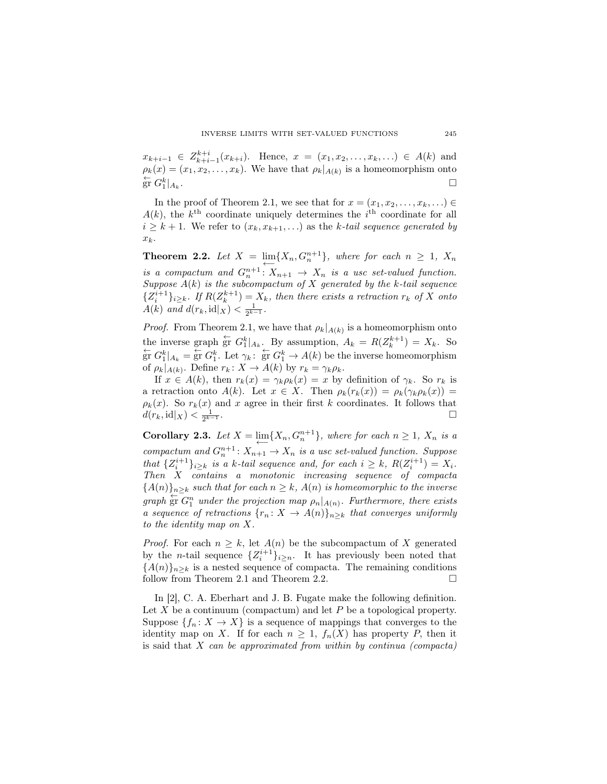$x_{k+i-1} \in Z_{k+i-1}^{k+i}(x_{k+i})$ . Hence,  $x = (x_1, x_2, \ldots, x_k, \ldots) \in A(k)$  and  $\rho_k(x) = (x_1, x_2, \dots, x_k)$ . We have that  $\rho_k|_{A(k)}$  is a homeomorphism onto  $\stackrel{\leftarrow}{\text{gr}} G_1^k|_{A_k}$ .

In the proof of Theorem 2.1, we see that for  $x = (x_1, x_2, \ldots, x_k, \ldots)$  $A(k)$ , the  $k^{\text{th}}$  coordinate uniquely determines the  $i^{\text{th}}$  coordinate for all  $i \geq k+1$ . We refer to  $(x_k, x_{k+1}, \ldots)$  as the *k*-tail sequence generated by *xk*.

**Theorem 2.2.** Let  $X = \lim_{n \to \infty} \{X_n, G_n^{n+1}\}\$ , where for each  $n \geq 1$ ,  $X_n$ *is a compactum and*  $G_n^{n+1}$  :  $X_{n+1} \rightarrow X_n$  *is a usc set-valued function. Suppose A*(*k*) *is the subcompactum of X generated by the k-tail sequence*  ${Z_i^{i+1}}_{i \geq k}$ . If  $R(Z_k^{k+1}) = X_k$ , then there exists a retraction  $r_k$  of X onto *A*(*k*) *and*  $d(r_k, id|_X) < \frac{1}{2^{k-1}}$ .

*Proof.* From Theorem 2.1, we have that  $\rho_k|_{A(k)}$  is a homeomorphism onto the inverse graph  $\frac{1}{S}$ <sup>r</sup>  $G_1^k|_{A_k}$ . By assumption,  $A_k = R(Z_k^{k+1}) = X_k$ . So  $\frac{1}{e^{\lambda}} G_{1}^{k} |_{A_{k}} = \frac{1}{e^{\lambda}} G_{1}^{k}$ . Let  $\gamma_{k}$ :  $\frac{1}{e^{\lambda}} G_{1}^{k} \to A(k)$  be the inverse homeomorphism of  $\rho_k|_{A(k)}$ . Define  $r_k: X \to A(k)$  by  $r_k = \gamma_k \rho_k$ .

If  $x \in A(k)$ , then  $r_k(x) = \gamma_k \rho_k(x) = x$  by definition of  $\gamma_k$ . So  $r_k$  is a retraction onto  $A(k)$ . Let  $x \in X$ . Then  $\rho_k(r_k(x)) = \rho_k(\gamma_k \rho_k(x)) =$  $\rho_k(x)$ . So  $r_k(x)$  and *x* agree in their first *k* coordinates. It follows that  $d(r_k, id|_X) < \frac{1}{2^{k}}$ *<sup>k</sup>−*<sup>1</sup> .

**Corollary 2.3.** Let  $X = \lim_{n \to \infty} \{X_n, G_n^{n+1}\}\$ , where for each  $n \geq 1$ ,  $X_n$  is a  $\longleftarrow$  *compactum and*  $G_n^{n+1}$ :  $X_{n+1} \to X_n$  *is a usc set-valued function. Suppose* that  $\{Z_i^{i+1}\}_{i\geq k}$  is a k-tail sequence and, for each  $i \geq k$ ,  $R(Z_i^{i+1}) = X_i$ . *Then X contains a monotonic increasing sequence of compacta*  ${A(n)}_{n\geq k}$  *such that for each*  $n \geq k$ *,*  $A(n)$  *is homeomorphic to the inverse graph*  $\overleftarrow{g}$ **r**  $G_1^n$  *under the projection map*  $\rho_n|_{A(n)}$ *. Furthermore, there exists a sequence of retractions*  $\{r_n : X \to A(n)\}_{n \geq k}$  *that converges uniformly to the identity map on X.*

*Proof.* For each  $n \geq k$ , let  $A(n)$  be the subcompactum of X generated by the *n*-tail sequence  $\{Z_i^{i+1}\}_{i \geq n}$ . It has previously been noted that  ${A(n)}_{n \geq k}$  is a nested sequence of compacta. The remaining conditions follow from Theorem 2.1 and Theorem 2.2. follow from Theorem 2.1 and Theorem 2.2.

In [2], C. A. Eberhart and J. B. Fugate make the following definition. Let *X* be a continuum (compactum) and let *P* be a topological property. Suppose  ${f_n: X \to X}$  is a sequence of mappings that converges to the identity map on *X*. If for each  $n \geq 1$ ,  $f_n(X)$  has property *P*, then it is said that *X can be approximated from within by continua (compacta)*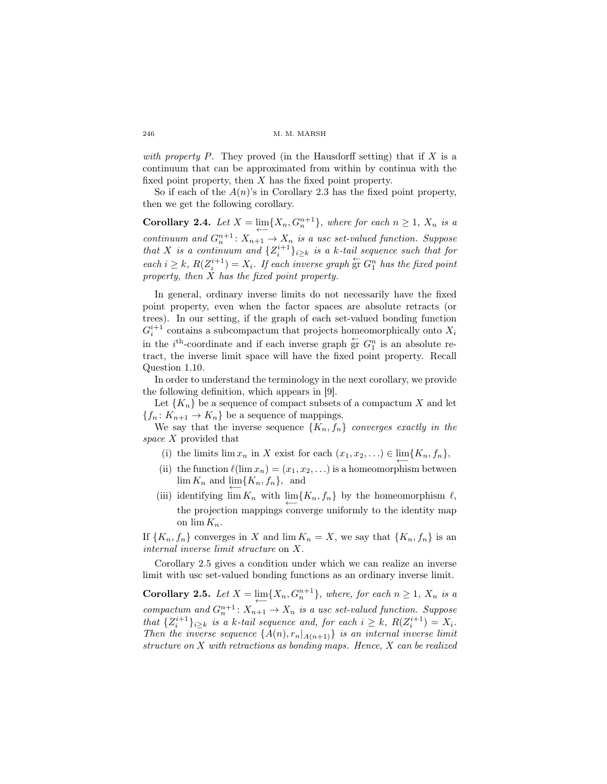*with property*  $P$ . They proved (in the Hausdorff setting) that if  $X$  is a continuum that can be approximated from within by continua with the fixed point property, then *X* has the fixed point property.

So if each of the  $A(n)$ 's in Corollary 2.3 has the fixed point property, then we get the following corollary.

**Corollary 2.4.** Let  $X = \lim_{n \to \infty} \{X_n, G_n^{n+1}\}\$ , where for each  $n \geq 1$ ,  $X_n$  is a  ${\rm continuum}$  and  $G_n^{n+1}: X_{n+1} \to X_n$  is a usc set-valued function. Suppose *that X is a continuum and*  $\{Z_i^{i+1}\}_{i \geq k}$  *is a k-tail sequence such that for each*  $i \geq k$ *,*  $R(Z_i^{i+1}) = X_i$ *. If each inverse graph*  $\overleftarrow{F}$ *C*<sup>*n*</sup><sub>1</sub>*has the fixed point property, then X has the fixed point property.*

In general, ordinary inverse limits do not necessarily have the fixed point property, even when the factor spaces are absolute retracts (or trees). In our setting, if the graph of each set-valued bonding function  $G_i^{i+1}$  contains a subcompactum that projects homeomorphically onto  $X_i$ in the  $i^{\text{th}}$ -coordinate and if each inverse graph  $\overleftarrow{gr} G_1^n$  is an absolute retract, the inverse limit space will have the fixed point property. Recall Question 1.10.

In order to understand the terminology in the next corollary, we provide the following definition, which appears in [9].

Let  ${K_n}$  be a sequence of compact subsets of a compactum X and let  ${f_n: K_{n+1} \to K_n}$  be a sequence of mappings.

We say that the inverse sequence  ${K_n, f_n}$  *converges exactly in the space X* provided that

- (i) the limits lim  $x_n$  in  $X$  exist for each  $(x_1, x_2, \ldots) \in \lim_{n \to \infty} \{K_n, f_n\}$ ,
- (ii) the function  $\ell(\lim x_n) = (x_1, x_2, \ldots)$  is a homeomorphism between  $\lim_{n \to \infty} K_n$  and  $\lim_{n \to \infty} {K_n, f_n}$ , and
- (iii) identifying  $\lim_{n} K_n$  with  $\lim_{n} {K_n, f_n}$  by the homeomorphism  $\ell$ , the projection mappings converge uniformly to the identity map on  $\lim K_n$ .

If  $\{K_n, f_n\}$  converges in *X* and  $\lim K_n = X$ , we say that  $\{K_n, f_n\}$  is an *internal inverse limit structure* on *X*.

Corollary 2.5 gives a condition under which we can realize an inverse limit with usc set-valued bonding functions as an ordinary inverse limit.

**Corollary 2.5.** Let  $X = \lim_{n \to \infty} \{X_n, G_n^{n+1}\}\$ , where, for each  $n \geq 1$ ,  $X_n$  is a  $\overline{compactum}$  and  $G_n^{n+1}$ :  $X_{n+1} \to X_n$  is a usc set-valued function. Suppose that  $\{Z_i^{i+1}\}_{i\geq k}$  is a k-tail sequence and, for each  $i \geq k$ ,  $R(Z_i^{i+1}) = X_i$ . *Then the inverse sequence*  $\{A(n), r_n |_{A(n+1)}\}$  *is an internal inverse limit structure on X with retractions as bonding maps. Hence, X can be realized*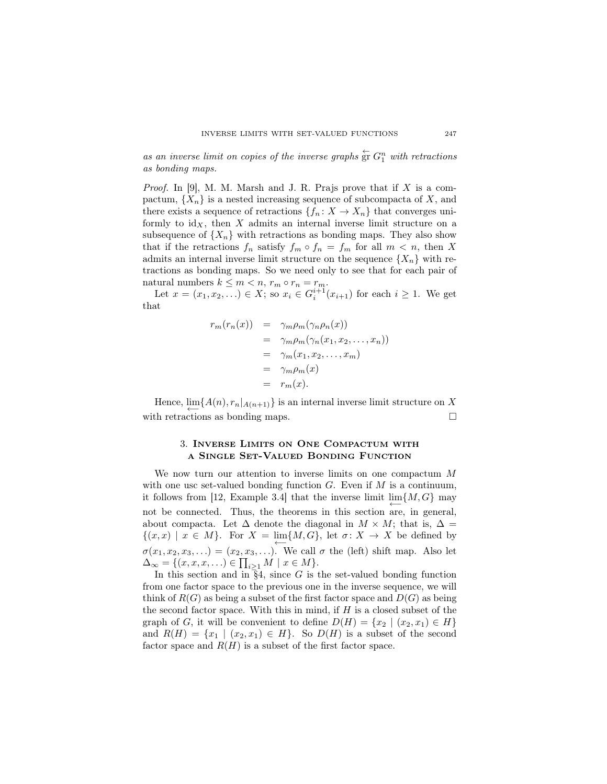*as an inverse limit on copies of the inverse graphs*  $\overleftarrow{F}$   $G_1^n$  *with retractions as bonding maps.*

*Proof.* In [9], M. M. Marsh and J. R. Prajs prove that if *X* is a compactum,  ${X_n}$  is a nested increasing sequence of subcompacta of X, and there exists a sequence of retractions  $\{f_n : X \to X_n\}$  that converges uniformly to  $id_X$ , then  $X$  admits an internal inverse limit structure on a subsequence of  $\{X_n\}$  with retractions as bonding maps. They also show that if the retractions  $f_n$  satisfy  $f_m \circ f_n = f_m$  for all  $m < n$ , then X admits an internal inverse limit structure on the sequence  $\{X_n\}$  with retractions as bonding maps. So we need only to see that for each pair of natural numbers  $k \leq m < n$ ,  $r_m \circ r_n = r_m$ .

Let  $x = (x_1, x_2, \ldots) \in X$ ; so  $x_i \in G_i^{i+1}(x_{i+1})$  for each  $i \ge 1$ . We get that

$$
r_m(r_n(x)) = \gamma_m \rho_m(\gamma_n \rho_n(x))
$$
  
=  $\gamma_m \rho_m(\gamma_n(x_1, x_2, ..., x_n))$   
=  $\gamma_m(x_1, x_2, ..., x_m)$   
=  $\gamma_m \rho_m(x)$   
=  $r_m(x)$ .

Hence,  $\lim_{n \to \infty} \{A(n), r_n |_{A(n+1)}\}$  is an internal inverse limit structure on X with retractions as bonding maps.  $□$ 

### 3. Inverse Limits on One Compactum with a Single Set-Valued Bonding Function

We now turn our attention to inverse limits on one compactum *M* with one usc set-valued bonding function *G*. Even if *M* is a continuum, it follows from [12, Example 3.4] that the inverse limit  $\lim\{M, G\}$  may not be connected. Thus, the theorems in this section are, in general, about compacta. Let  $\Delta$  denote the diagonal in  $M \times M$ ; that is,  $\Delta =$  $\{(x, x) \mid x \in M\}$ . For  $X = \lim\{M, G\}$ , let  $\sigma: X \to X$  be defined by  $\sigma(x_1, x_2, x_3, \ldots) = (x_2, x_3, \ldots)$ . We call  $\sigma$  the (left) shift map. Also let  $\Delta_{\infty} = \{ (x, x, x, \ldots) \in \prod_{i \geq 1} M \mid x \in M \}.$ 

In this section and in  $\overline{\S}4$ , since *G* is the set-valued bonding function from one factor space to the previous one in the inverse sequence, we will think of  $R(G)$  as being a subset of the first factor space and  $D(G)$  as being the second factor space. With this in mind, if *H* is a closed subset of the graph of *G*, it will be convenient to define  $D(H) = \{x_2 \mid (x_2, x_1) \in H\}$ and  $R(H) = \{x_1 \mid (x_2, x_1) \in H\}$ . So  $D(H)$  is a subset of the second factor space and  $R(H)$  is a subset of the first factor space.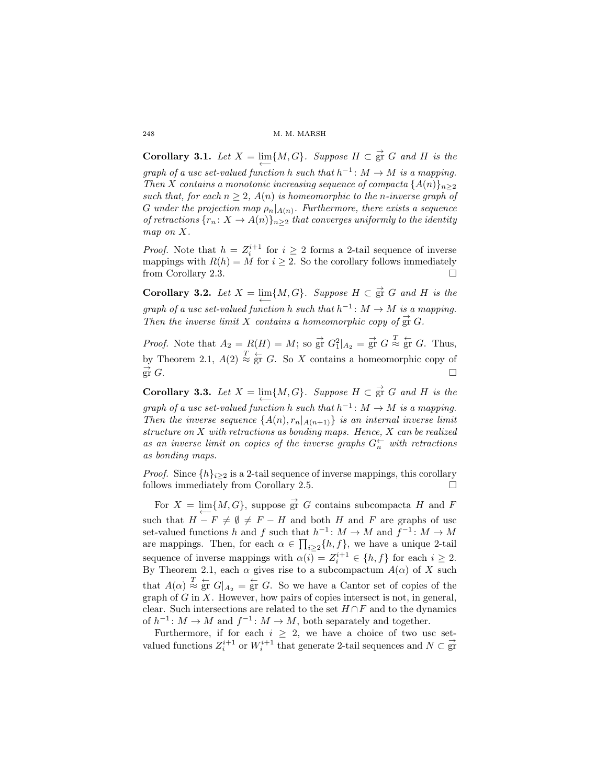**Corollary 3.1.** Let  $X = \lim\{M, G\}$ . Suppose  $H \subset \overrightarrow{gr}$  *G* and *H* is the

 $\overleftarrow{graph\ of\ a\ us\ c\ set\-valued\ function\ h\ such\ that\ h^{-1}\colon M\to M\ is\ a\ mapping.}$ *Then X contains a monotonic increasing sequence of compacta*  $\{A(n)\}_{n\geq 2}$ *such that, for each*  $n \geq 2$ ,  $A(n)$  *is homeomorphic to the n-inverse graph of*  $G$  *under the projection map*  $\rho_n|_{A(n)}$ . Furthermore, there exists a sequence *of retractions*  $\{r_n : X \to A(n)\}_{n \geq 2}$  *that converges uniformly to the identity map on X.*

*Proof.* Note that  $h = Z_i^{i+1}$  for  $i \geq 2$  forms a 2-tail sequence of inverse mappings with  $R(h) = M$  for  $i \geq 2$ . So the corollary follows immediately from Corollary 2.3.

**Corollary 3.2.** Let  $X = \lim\{M, G\}$ . Suppose  $H \subset \mathop{\rm gr}\nolimits G$  and  $H$  is the  $\overleftarrow{q}$  *graph of a usc set-valued function h such that*  $h^{-1}: M \to M$  *is a mapping.* Then the inverse limit X contains a homeomorphic copy of  $\vec{gr} G$ .

*Proof.* Note that  $A_2 = R(H) = M$ ; so  $\overrightarrow{gr} G_1^2|_{A_2} = \overrightarrow{gr} G \stackrel{T}{\approx} \overleftarrow{gr} G$ . Thus, by Theorem 2.1,  $A(2) \stackrel{T}{\approx} \stackrel{L}{\text{gr}} G$ . So *X* contains a homeomorphic copy of  $\overrightarrow{\text{gr}} G.$  $\overline{g}$ r *G*.

**Corollary 3.3.** Let  $X = \lim\{M, G\}$ . Suppose  $H \subset \overrightarrow{gr}$  *G* and *H* is the  $\overleftarrow{q}$  *graph of a usc set-valued function h such that*  $h^{-1}: M \to M$  *is a mapping. Then the inverse sequence*  $\{A(n), r_n |_{A(n+1)}\}$  *is an internal inverse limit structure on X with retractions as bonding maps. Hence, X can be realized* as an inverse limit on copies of the inverse graphs  $G_n^{\leftarrow}$  with retractions *as bonding maps.*

*Proof.* Since  $\{h\}_{i\geq 2}$  is a 2-tail sequence of inverse mappings, this corollary follows immediately from Corollary 2.5. follows immediately from Corollary 2.5.

For  $X = \lim\{M, G\}$ , suppose  $\overrightarrow{gr}$  *G* contains subcompacta *H* and *F* such that  $H - F ≠ ∅ ≠ F - H$  and both *H* and *F* are graphs of usc set-valued functions *h* and *f* such that  $h^{-1}: M \to M$  and  $f^{-1}: M \to M$ are mappings. Then, for each  $\alpha \in \prod_{i \geq 2} \{h, f\}$ , we have a unique 2-tail sequence of inverse mappings with  $\alpha(i) = Z_i^{i+1} \in \{h, f\}$  for each  $i \geq 2$ . By Theorem 2.1, each  $\alpha$  gives rise to a subcompactum  $A(\alpha)$  of X such that  $A(\alpha) \stackrel{T}{\approx} \frac{1}{g}$  *G*<sub> $|A_2|$ </sub> =  $\stackrel{1}{g}$  *G*. So we have a Cantor set of copies of the graph of *G* in *X*. However, how pairs of copies intersect is not, in general, clear. Such intersections are related to the set *H ∩F* and to the dynamics of  $h^{-1}: M \to M$  and  $f^{-1}: M \to M$ , both separately and together.

Furthermore, if for each  $i \geq 2$ , we have a choice of two usc setvalued functions  $Z_i^{i+1}$  or  $W_i^{i+1}$  that generate 2-tail sequences and  $N \subset \mathbb{F}$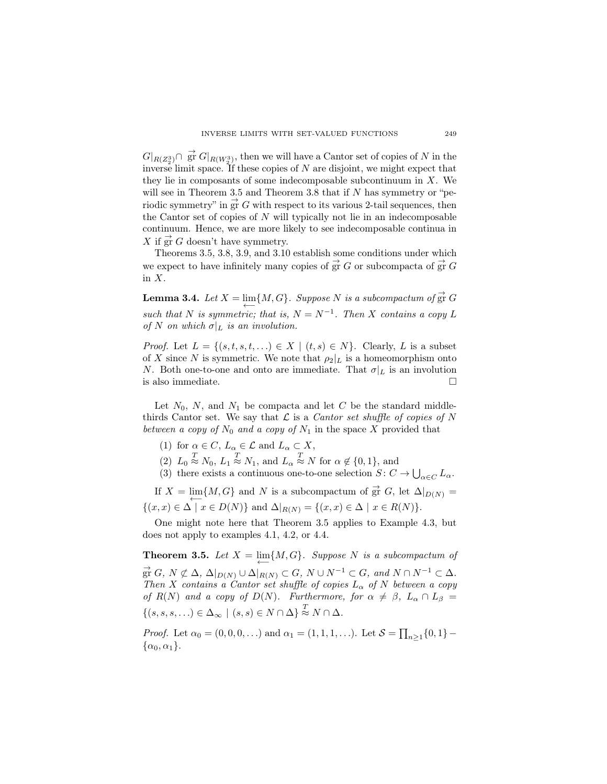$G|_{R(Z_2^3)} \cap \vec{g}$  *G*<sup> $\mid$ </sup> $R(W_2^3)$ , then we will have a Cantor set of copies of *N* in the inverse limit space. If these copies of *N* are disjoint, we might expect that they lie in composants of some indecomposable subcontinuum in *X*. We will see in Theorem 3.5 and Theorem 3.8 that if *N* has symmetry or "periodic symmetry" in  $\vec{gr} G$  with respect to its various 2-tail sequences, then the Cantor set of copies of *N* will typically not lie in an indecomposable continuum. Hence, we are more likely to see indecomposable continua in *X* if  $\vec{gr}$  *G* doesn't have symmetry.

Theorems 3.5, 3.8, 3.9, and 3.10 establish some conditions under which we expect to have infinitely many copies of  $\vec{gr} G$  or subcompacta of  $\vec{gr} G$ in *X*.

**Lemma 3.4.** Let  $X = \lim\{M, G\}$ . Suppose N is a subcompactum of  $\overrightarrow{gr}$  G  $\overleftarrow{B}$  *such that N is symmetric; that is,*  $N = N^{-1}$ *. Then X contains a copy L of N on which*  $\sigma|_L$  *is an involution.* 

*Proof.* Let  $L = \{(s, t, s, t, \ldots) \in X \mid (t, s) \in N\}$ . Clearly, *L* is a subset of *X* since *N* is symmetric. We note that  $\rho_2|_L$  is a homeomorphism onto *N*. Both one-to-one and onto are immediate. That  $\sigma|_L$  is an involution is also immediate.  $\hfill \square$ 

Let  $N_0$ ,  $N$ , and  $N_1$  be compacta and let  $C$  be the standard middlethirds Cantor set. We say that  $\mathcal L$  is a *Cantor set shuffle of copies of*  $N$ *between a copy of*  $N_0$  *and a copy of*  $N_1$  in the space X provided that

- (1) for  $\alpha \in C$ ,  $L_{\alpha} \in \mathcal{L}$  and  $L_{\alpha} \subset X$ ,
- $T(2)$   $L_0 \stackrel{T}{\approx} N_0$ ,  $L_1 \stackrel{T}{\approx} N_1$ , and  $L_\alpha \stackrel{T}{\approx} N$  for  $\alpha \notin \{0,1\}$ , and
- (3) there exists a continuous one-to-one selection  $S: C \to \bigcup_{\alpha \in C} L_{\alpha}$ .

If  $X = \lim\{M, G\}$  and N is a subcompactum of  $\vec{gr} G$ , let  $\Delta|_{D(N)} =$  ${{(x, x) \in ∆ | x ∈ D(N)}$  and  ${Δ |_{R(N)} = {(x, x) \in ∆ | x ∈ R(N)}}.$ 

One might note here that Theorem 3.5 applies to Example 4.3, but does not apply to examples 4.1, 4.2, or 4.4.

**Theorem 3.5.** Let  $X = \lim\{M, G\}$ . Suppose N is a subcompactum of  $\overrightarrow{gr} G$ ,  $N \not\subset \Delta$ ,  $\Delta|_{D(N)} \cup \overrightarrow{\Delta|_{R(N)}} \subset G$ ,  $N \cup N^{-1} \subset G$ , and  $N \cap N^{-1} \subset \Delta$ . *Then X contains a Cantor set shuffle of copies*  $L_{\alpha}$  *of*  $N$  *between a copy of*  $R(N)$  *and a copy of*  $D(N)$ *. Furthermore, for*  $\alpha \neq \beta$ *,*  $L_{\alpha} \cap L_{\beta}$  =  $\{ (s, s, s, \ldots) \in \Delta_{\infty} \mid (s, s) \in N \cap \Delta \} \stackrel{T}{\approx} N \cap \Delta.$ 

*Proof.* Let  $\alpha_0 = (0, 0, 0, ...)$  and  $\alpha_1 = (1, 1, 1, ...)$ . Let  $S = \prod_{n \geq 1} \{0, 1\}$  $\{\alpha_0, \alpha_1\}.$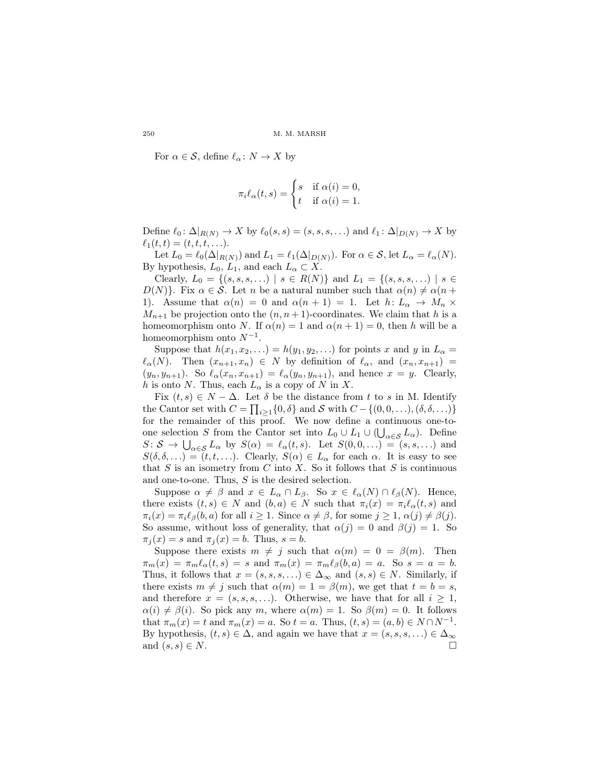For  $\alpha \in \mathcal{S}$ , define  $\ell_{\alpha} : N \to X$  by

$$
\pi_i \ell_\alpha(t,s) = \begin{cases} s & \text{if } \alpha(i) = 0, \\ t & \text{if } \alpha(i) = 1. \end{cases}
$$

Define  $\ell_0: \Delta|_{R(N)} \to X$  by  $\ell_0(s, s) = (s, s, s, \ldots)$  and  $\ell_1: \Delta|_{D(N)} \to X$  by  $\ell_1(t,t) = (t, t, t, \ldots).$ 

Let  $L_0 = \ell_0(\Delta|_{R(N)})$  and  $L_1 = \ell_1(\Delta|_{D(N)})$ . For  $\alpha \in \mathcal{S}$ , let  $L_\alpha = \ell_\alpha(N)$ . By hypothesis,  $L_0$ ,  $L_1$ , and each  $L_\alpha \subset X$ .

Clearly,  $L_0 = \{(s, s, s, \ldots) \mid s \in R(N)\}\$  and  $L_1 = \{(s, s, s, \ldots) \mid s \in R(N)\}\$ *D*(*N*)<sup>}</sup>. Fix  $\alpha \in S$ . Let *n* be a natural number such that  $\alpha(n) \neq \alpha(n+1)$ 1). Assume that  $\alpha(n) = 0$  and  $\alpha(n+1) = 1$ . Let  $h: L_{\alpha} \to M_{n} \times$  $M_{n+1}$  be projection onto the  $(n, n+1)$ -coordinates. We claim that *h* is a homeomorphism onto *N*. If  $\alpha(n) = 1$  and  $\alpha(n+1) = 0$ , then *h* will be a homeomorphism onto  $N^{-1}$ .

Suppose that  $h(x_1, x_2, \ldots) = h(y_1, y_2, \ldots)$  for points *x* and *y* in  $L_\alpha =$  $\ell_{\alpha}(N)$ . Then  $(x_{n+1}, x_n) \in N$  by definition of  $\ell_{\alpha}$ , and  $(x_n, x_{n+1}) =$  $(y_n, y_{n+1})$ . So  $\ell_\alpha(x_n, x_{n+1}) = \ell_\alpha(y_n, y_{n+1})$ , and hence  $x = y$ . Clearly, *h* is onto *N*. Thus, each  $L_{\alpha}$  is a copy of *N* in *X*.

Fix  $(t, s) \in N - \Delta$ . Let  $\delta$  be the distance from  $t$  to  $s$  in M. Identify the Cantor set with  $C = \prod_{i \ge 1} \{0, \delta\}$  and  $S$  with  $C - \{(0, 0, \ldots), (\delta, \delta, \ldots)\}$ for the remainder of this proof. We now define a continuous one-toone selection *S* from the Cantor set into  $L_0 \cup L_1 \cup (\bigcup_{\alpha \in S} L_\alpha)$ . Define  $S: S \to \bigcup_{\alpha \in S} L_{\alpha}$  by  $S(\alpha) = \ell_{\alpha}(t, s)$ . Let  $S(0, 0, ...) = (s, s, ...)$  and  $S(\delta, \delta, \ldots) = (t, t, \ldots)$ . Clearly,  $S(\alpha) \in L_\alpha$  for each  $\alpha$ . It is easy to see that  $S$  is an isometry from  $C$  into  $X$ . So it follows that  $S$  is continuous and one-to-one. Thus, *S* is the desired selection.

Suppose  $\alpha \neq \beta$  and  $x \in L_\alpha \cap L_\beta$ . So  $x \in \ell_\alpha(N) \cap \ell_\beta(N)$ . Hence, there exists  $(t, s) \in N$  and  $(b, a) \in N$  such that  $\pi_i(x) = \pi_i \ell_\alpha(t, s)$  and  $\pi_i(x) = \pi_i \ell_\beta(b, a)$  for all  $i \geq 1$ . Since  $\alpha \neq \beta$ , for some  $j \geq 1$ ,  $\alpha(j) \neq \beta(j)$ . So assume, without loss of generality, that  $\alpha(j) = 0$  and  $\beta(j) = 1$ . So  $\pi_i(x) = s$  and  $\pi_i(x) = b$ . Thus,  $s = b$ .

Suppose there exists  $m \neq j$  such that  $\alpha(m) = 0 = \beta(m)$ . Then  $\pi_m(x) = \pi_m \ell_\alpha(t, s) = s$  and  $\pi_m(x) = \pi_m \ell_\beta(b, a) = a$ . So  $s = a = b$ . Thus, it follows that  $x = (s, s, s, \ldots) \in \Delta_{\infty}$  and  $(s, s) \in N$ . Similarly, if there exists  $m \neq j$  such that  $\alpha(m) = 1 = \beta(m)$ , we get that  $t = b = s$ , and therefore  $x = (s, s, s, \ldots)$ . Otherwise, we have that for all  $i \geq 1$ ,  $\alpha(i) \neq \beta(i)$ . So pick any *m*, where  $\alpha(m) = 1$ . So  $\beta(m) = 0$ . It follows that  $\pi_m(x) = t$  and  $\pi_m(x) = a$ . So  $t = a$ . Thus,  $(t, s) = (a, b) \in N \cap N^{-1}$ . By hypothesis,  $(t, s) \in \Delta$ , and again we have that  $x = (s, s, s, ...) \in \Delta_{\infty}$  and  $(s, s) \in N$ . and  $(s, s) \in N$ .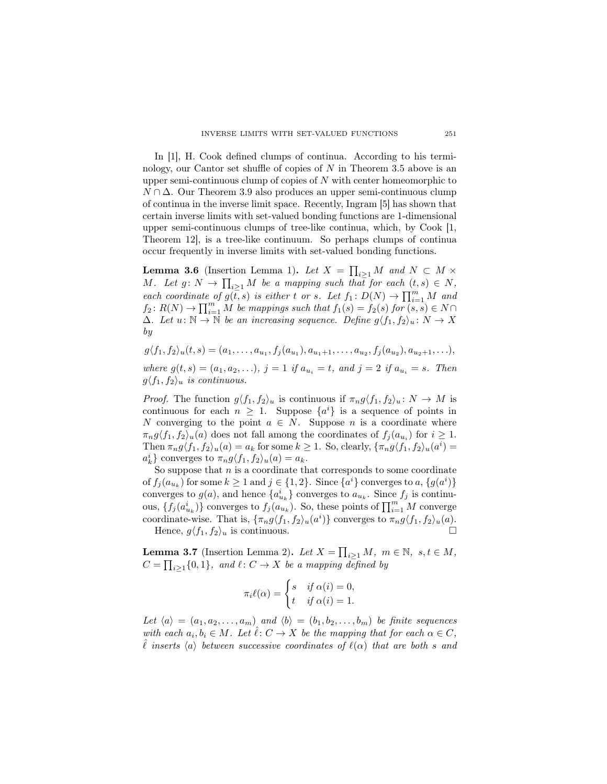In [1], H. Cook defined clumps of continua. According to his terminology, our Cantor set shuffle of copies of *N* in Theorem 3.5 above is an upper semi-continuous clump of copies of *N* with center homeomorphic to *N* ∩ ∆. Our Theorem 3.9 also produces an upper semi-continuous clump of continua in the inverse limit space. Recently, Ingram [5] has shown that certain inverse limits with set-valued bonding functions are 1-dimensional upper semi-continuous clumps of tree-like continua, which, by Cook [1, Theorem 12], is a tree-like continuum. So perhaps clumps of continua occur frequently in inverse limits with set-valued bonding functions.

**Lemma 3.6** (Insertion Lemma 1). Let  $X = \prod_{i \geq 1} M$  and  $N \subset M \times$ *M.* Let  $g: N \to \prod_{i \geq 1} M$  be a mapping such that for each  $(t, s) \in N$ , *each coordinate of*  $g(\overline{t}, s)$  *is either t or s. Let*  $f_1: D(N) \to \prod_{i=1}^m M$  *and*  $f_2: R(N) \to \prod_{i=1}^m M$  *be mappings such that*  $f_1(s) = f_2(s)$  *for*  $(s, s) \in N \cap$  $\Delta$ *. Let*  $u: \mathbb{N} \to \mathbb{N}$  *be an increasing sequence. Define*  $g \langle f_1, f_2 \rangle_u : N \to X$ *by*

 $g\langle f_1, f_2\rangle_u(t,s)=(a_1,\ldots,a_{u_1},f_j(a_{u_1}),a_{u_1+1},\ldots,a_{u_2},f_j(a_{u_2}),a_{u_2+1},\ldots),$ 

*where*  $g(t, s) = (a_1, a_2, \ldots), j = 1$  *if*  $a_{u_i} = t$ *, and*  $j = 2$  *if*  $a_{u_i} = s$ *. Then*  $g\langle f_1, f_2 \rangle_u$  *is continuous.* 

*Proof.* The function  $g\langle f_1, f_2 \rangle_u$  is continuous if  $\pi_n g \langle f_1, f_2 \rangle_u : N \to M$  is continuous for each  $n \geq 1$ . Suppose  $\{a^i\}$  is a sequence of points in *N* converging to the point  $a \in N$ . Suppose *n* is a coordinate where  $\pi_n g \langle f_1, f_2 \rangle_u(a)$  does not fall among the coordinates of  $f_j(a_{u_i})$  for  $i \geq 1$ . Then  $\pi_n g \langle f_1, f_2 \rangle_u(a) = a_k$  for some  $k \ge 1$ . So, clearly,  $\{\pi_n g \langle f_1, f_2 \rangle_u(a^i) =$  $a_k^i$  converges to  $\pi_n g \langle f_1, f_2 \rangle_u(a) = a_k$ .

So suppose that *n* is a coordinate that corresponds to some coordinate of  $f_j(a_{u_k})$  for some  $k \ge 1$  and  $j \in \{1, 2\}$ . Since  $\{a^i\}$  converges to a,  $\{g(a^i)\}$ converges to  $g(a)$ , and hence  ${a_i^i}_{u_k}$  converges to  $a_{u_k}$ . Since  $f_j$  is continuous,  $\{f_j(a_{u_k}^i)\}\)$  converges to  $f_j(a_{u_k}^i)$ . So, these points of  $\prod_{i=1}^m M$  converge coordinate-wise. That is,  $\{\pi_n g \langle f_1, f_2 \rangle_u(a^i)\}$  converges to  $\pi_n g \langle f_1, f_2 \rangle_u(a)$ . Hence,  $g\langle f_1, f_2 \rangle_u$  is continuous.

Lemma 3.7 (Insertion Lemma 2). Let  $X = \prod_{i \geq 1} M, m \in \mathbb{N}, s, t \in M$ ,  $C = \prod_{i \geq 1} \{0, 1\}$ , and  $\ell: C \to X$  be a mapping defined by

$$
\pi_i \ell(\alpha) = \begin{cases} s & \text{if } \alpha(i) = 0, \\ t & \text{if } \alpha(i) = 1. \end{cases}
$$

*Let*  $\langle a \rangle = (a_1, a_2, \ldots, a_m)$  *and*  $\langle b \rangle = (b_1, b_2, \ldots, b_m)$  *be finite sequences with each*  $a_i, b_i \in M$ *. Let*  $\hat{\ell}: C \to X$  *be the mapping that for each*  $\alpha \in C$ *,*  $\ell$  *inserts*  $\langle a \rangle$  *between successive coordinates of*  $\ell(\alpha)$  *that are both s and*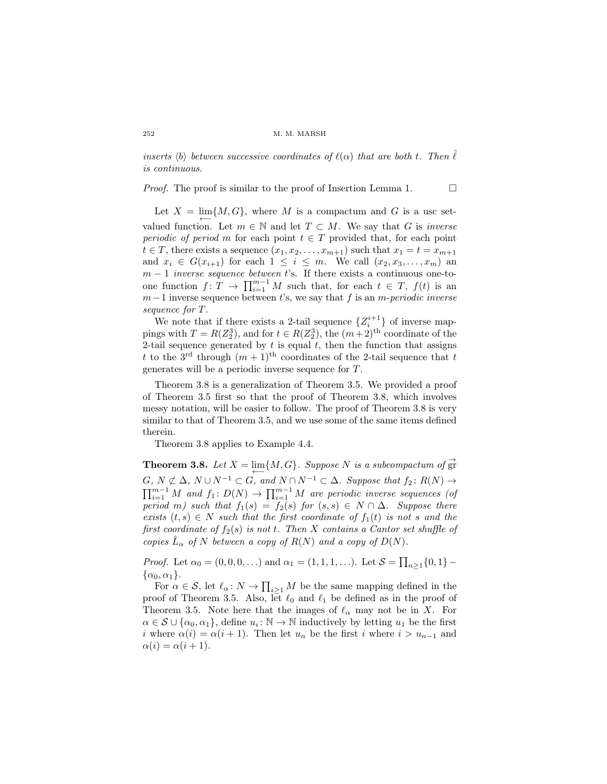*inserts*  $\langle b \rangle$  *between successive coordinates of*  $\ell(\alpha)$  *that are both t. Then*  $\ell$ *is continuous.*

*Proof.* The proof is similar to the proof of Insertion Lemma 1.  $\Box$ 

Let  $X = \lim\{M, G\}$ , where M is a compactum and G is a usc setvalued function. Let  $m \in \mathbb{N}$  and let  $T \subset M$ . We say that *G* is *inverse periodic of period m* for each point  $t \in T$  provided that, for each point  $t \in T$ , there exists a sequence  $(x_1, x_2, \ldots, x_{m+1})$  such that  $x_1 = t = x_{m+1}$ and  $x_i \in G(x_{i+1})$  for each  $1 \leq i \leq m$ . We call  $(x_2, x_3, \ldots, x_m)$  and *m* − 1 *inverse sequence between t*'s. If there exists a continuous one-toone function  $f: T \to \prod_{i=1}^{m-1} M$  such that, for each  $t \in T$ ,  $f(t)$  is an *m−*1 inverse sequence between *t*'s, we say that *f* is an *m*-*periodic inverse sequence for T*.

We note that if there exists a 2-tail sequence  $\{Z_i^{i+1}\}\$  of inverse mappings with  $T = R(Z_2^3)$ , and for  $t \in R(Z_2^3)$ , the  $(m+2)$ <sup>th</sup> coordinate of the 2-tail sequence generated by  $t$  is equal  $t$ , then the function that assigns *t* to the 3<sup>rd</sup> through  $(m + 1)$ <sup>th</sup> coordinates of the 2-tail sequence that *t* generates will be a periodic inverse sequence for *T*.

Theorem 3.8 is a generalization of Theorem 3.5. We provided a proof of Theorem 3.5 first so that the proof of Theorem 3.8, which involves messy notation, will be easier to follow. The proof of Theorem 3.8 is very similar to that of Theorem 3.5, and we use some of the same items defined therein.

Theorem 3.8 applies to Example 4.4.

**Theorem 3.8.** Let  $X = \lim\{M, G\}$ . Suppose N is a subcompactum of  $\overrightarrow{gr}$  $G, N \not\subset \Delta, N \cup N^{-1} \subset G,$  and  $N \cap N^{-1} \subset \Delta$ . Suppose that  $f_2 \colon R(N) \to$  $\prod_{i=1}^{m-1} M$  and  $f_1: D(N) \to \prod_{i=1}^{m-1} M$  are periodic inverse sequences (of *period m)* such that  $f_1(s) = f_2(s)$  *for*  $(s, s) \in N \cap \Delta$ *. Suppose there*  $exists (t, s) \in N$  *such that the first coordinate of*  $f_1(t)$  *is not s and the first coordinate of*  $f_2(s)$  *is not t. Then X contains a Cantor set shuffle of copies*  $\hat{L}_{\alpha}$  *of*  $N$  *between a copy of*  $R(N)$  *and a copy of*  $D(N)$ *.* 

*Proof.* Let  $\alpha_0 = (0, 0, 0, ...)$  and  $\alpha_1 = (1, 1, 1, ...)$ . Let  $S = \prod_{n \geq 1} \{0, 1\}$  $\{\alpha_0, \alpha_1\}.$ 

For  $\alpha \in \mathcal{S}$ , let  $\ell_{\alpha}: N \to \prod_{i \geq 1} M$  be the same mapping defined in the proof of Theorem 3.5. Also, let  $\ell_0$  and  $\ell_1$  be defined as in the proof of Theorem 3.5. Note here that the images of  $\ell_{\alpha}$  may not be in *X*. For  $\alpha \in \mathcal{S} \cup \{\alpha_0, \alpha_1\}$ , define  $u_i : \mathbb{N} \to \mathbb{N}$  inductively by letting  $u_1$  be the first *i* where  $\alpha(i) = \alpha(i+1)$ . Then let  $u_n$  be the first *i* where  $i > u_{n-1}$  and  $\alpha(i) = \alpha(i+1).$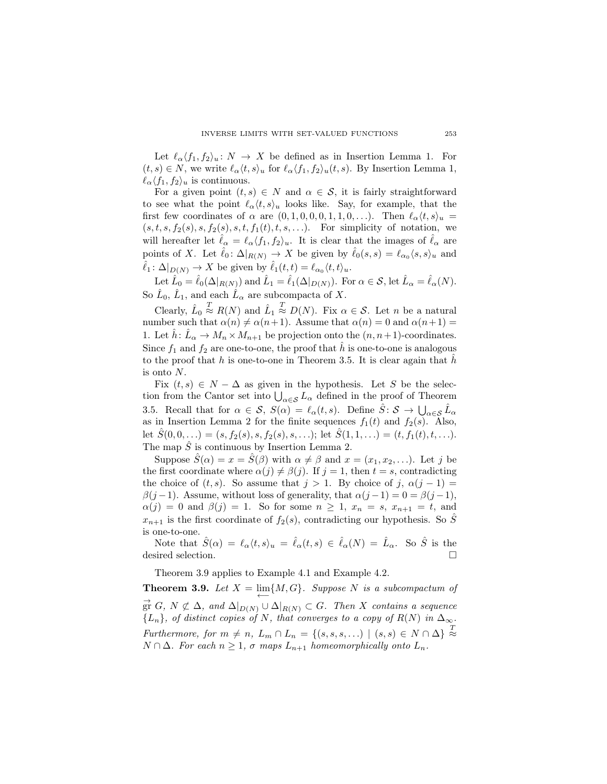Let  $\ell_{\alpha} \langle f_1, f_2 \rangle_u : N \to X$  be defined as in Insertion Lemma 1. For  $(t, s) \in N$ , we write  $\ell_{\alpha} \langle t, s \rangle_u$  for  $\ell_{\alpha} \langle f_1, f_2 \rangle_u(t, s)$ . By Insertion Lemma 1,  $\ell_{\alpha} \langle f_1, f_2 \rangle_u$  is continuous.

For a given point  $(t, s) \in N$  and  $\alpha \in S$ , it is fairly straightforward to see what the point  $\ell_{\alpha} \langle t, s \rangle_u$  looks like. Say, for example, that the first few coordinates of  $\alpha$  are  $(0, 1, 0, 0, 0, 1, 1, 0, ...)$ . Then  $\ell_{\alpha} \langle t, s \rangle_u =$  $(s, t, s, f_2(s), s, f_2(s), s, t, f_1(t), t, s, \ldots)$ . For simplicity of notation, we will hereafter let  $\hat{\ell}_{\alpha} = \ell_{\alpha} \langle f_1, f_2 \rangle_u$ . It is clear that the images of  $\hat{\ell}_{\alpha}$  are points of *X*. Let  $\hat{\ell}_0: \Delta|_{R(N)} \to X$  be given by  $\hat{\ell}_0(s,s) = \ell_{\alpha_0}(s,s)_u$  and  $\hat{\ell}_1: \Delta|_{D(N)} \to X$  be given by  $\hat{\ell}_1(t,t) = \ell_{\alpha_0} \langle t, t \rangle_u$ .

Let  $\hat{L}_0 = \hat{\ell}_0(\Delta|_{R(N)})$  and  $\hat{L}_1 = \hat{\ell}_1(\Delta|_{D(N)})$ . For  $\alpha \in \mathcal{S}$ , let  $\hat{L}_\alpha = \hat{\ell}_\alpha(N)$ . So  $\hat{L}_0$ ,  $\hat{L}_1$ , and each  $\hat{L}_\alpha$  are subcompacta of X.

Clearly,  $\hat{L}_0$  $\stackrel{T}{\approx} R(N)$  and  $\hat{L}_1$ *T ≈ D*(*N*). Fix *α ∈ S*. Let *n* be a natural number such that  $\alpha(n) \neq \alpha(n+1)$ . Assume that  $\alpha(n) = 0$  and  $\alpha(n+1) =$ 1. Let  $\hat{h}$ :  $\hat{L}_{\alpha} \to M_n \times M_{n+1}$  be projection onto the  $(n, n+1)$ -coordinates. Since  $f_1$  and  $f_2$  are one-to-one, the proof that  $\hat{h}$  is one-to-one is analogous to the proof that *h* is one-to-one in Theorem 3.5. It is clear again that  $\hat{h}$ is onto *N*.

Fix  $(t, s) \in N - \Delta$  as given in the hypothesis. Let S be the selection from the Cantor set into  $\bigcup_{\alpha \in \mathcal{S}} L_{\alpha}$  defined in the proof of Theorem 3.5. Recall that for  $\alpha \in S$ ,  $S(\alpha) = \ell_\alpha(t, s)$ . Define  $\hat{S}: S \to \bigcup_{\alpha \in S} \hat{L}_\alpha$ as in Insertion Lemma 2 for the finite sequences  $f_1(t)$  and  $f_2(s)$ . Also, let  $\hat{S}(0,0,\ldots) = (s, f_2(s), s, f_2(s), s, \ldots);$  let  $\hat{S}(1,1,\ldots) = (t, f_1(t), t, \ldots).$ The map  $\hat{S}$  is continuous by Insertion Lemma 2.

Suppose  $\hat{S}(\alpha) = x = \hat{S}(\beta)$  with  $\alpha \neq \beta$  and  $x = (x_1, x_2, \ldots)$ . Let *j* be the first coordinate where  $\alpha(j) \neq \beta(j)$ . If  $j = 1$ , then  $t = s$ , contradicting the choice of  $(t, s)$ . So assume that  $j > 1$ . By choice of  $j, \alpha(j - 1) =$  $\beta(j-1)$ . Assume, without loss of generality, that  $\alpha(j-1) = 0 = \beta(j-1)$ ,  $\alpha(j) = 0$  and  $\beta(j) = 1$ . So for some  $n \geq 1$ ,  $x_n = s$ ,  $x_{n+1} = t$ , and  $x_{n+1}$  is the first coordinate of  $f_2(s)$ , contradicting our hypothesis. So *S* is one-to-one.

Note that  $\hat{S}(\alpha) = \ell_{\alpha} \langle t, s \rangle_u = \hat{\ell}_{\alpha}(t, s) \in \hat{\ell}_{\alpha}(N) = \hat{L}_{\alpha}$ . So  $\hat{S}$  is the desired selection.

Theorem 3.9 applies to Example 4.1 and Example 4.2.

**Theorem 3.9.** Let  $X = \lim\{M, G\}$ . Suppose N is a subcompactum of *←−*  $\overrightarrow{g}$ **f**<sub>*G*</sub>*, N*  $\not\subset \Delta$ *, and*  $\Delta|_{D(N)} \cup \Delta|_{R(N)} \subset G$ *. Then X contains a sequence*  ${L_n}$ *, of distinct copies of N, that converges to a copy of*  $R(N)$  *in*  $\Delta_{\infty}$ *. Furthermore, for*  $m \neq n$ ,  $L_m \cap L_n = \{(s, s, s, \ldots) \mid (s, s) \in N \cap \Delta\} \stackrel{T}{\approx}$ *N* ∩ ∆*. For each*  $n \geq 1$ *,*  $\sigma$  *maps*  $L_{n+1}$  *homeomorphically onto*  $L_n$ *.*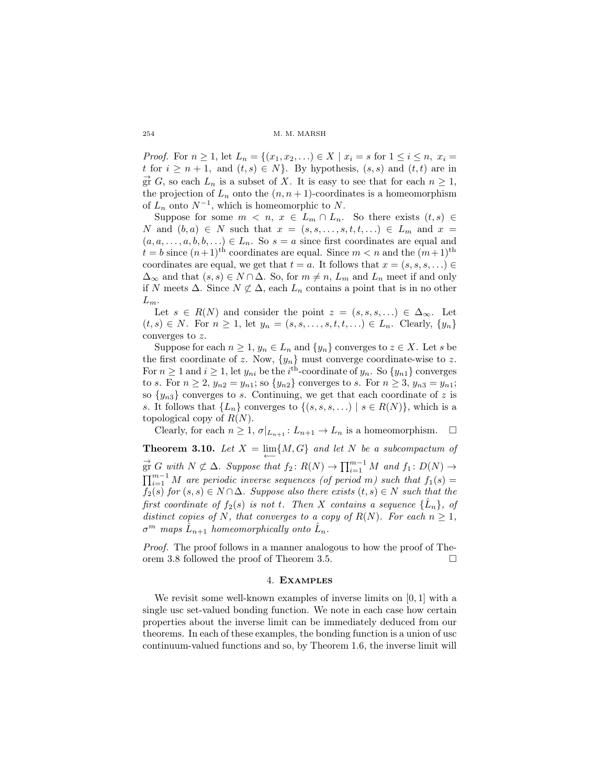*Proof.* For  $n \geq 1$ , let  $L_n = \{(x_1, x_2, \ldots) \in X \mid x_i = s \text{ for } 1 \leq i \leq n, x_i = 1\}$ *t* for  $i \geq n+1$ , and  $(t, s) \in N$ . By hypothesis,  $(s, s)$  and  $(t, t)$  are in  $\overrightarrow{gr}$  *G*, so each  $L_n$  is a subset of *X*. It is easy to see that for each  $n \geq 1$ , the projection of  $L_n$  onto the  $(n, n+1)$ -coordinates is a homeomorphism of  $L_n$  onto  $N^{-1}$ , which is homeomorphic to  $N$ .

Suppose for some  $m < n$ ,  $x \in L_m \cap L_n$ . So there exists  $(t, s) \in$ *N* and  $(b, a) \in N$  such that  $x = (s, s, \ldots, s, t, t, \ldots) \in L_m$  and  $x =$  $(a, a, \ldots, a, b, b, \ldots) \in L_n$ . So  $s = a$  since first coordinates are equal and  $t = b$  since  $(n+1)$ <sup>th</sup> coordinates are equal. Since  $m < n$  and the  $(m+1)$ <sup>th</sup> coordinates are equal, we get that  $t = a$ . It follows that  $x = (s, s, s, \ldots) \in$  $\Delta_{\infty}$  and that  $(s, s) \in N \cap \Delta$ . So, for  $m \neq n$ ,  $L_m$  and  $L_n$  meet if and only if *N* meets  $\Delta$ . Since  $N \not\subset \Delta$ , each  $L_n$  contains a point that is in no other *Lm*.

Let  $s \in R(N)$  and consider the point  $z = (s, s, s, \ldots) \in \Delta_{\infty}$ . Let  $(t, s) \in N$ . For  $n \geq 1$ , let  $y_n = (s, s, \ldots, s, t, t, \ldots) \in L_n$ . Clearly,  $\{y_n\}$ converges to *z*.

Suppose for each  $n \geq 1$ ,  $y_n \in L_n$  and  $\{y_n\}$  converges to  $z \in X$ . Let *s* be the first coordinate of *z*. Now,  $\{y_n\}$  must converge coordinate-wise to *z*. For  $n \geq 1$  and  $i \geq 1$ , let  $y_{ni}$  be the  $i$ <sup>th</sup>-coordinate of  $y_n$ . So  $\{y_{n1}\}$  converges to *s*. For  $n \geq 2$ ,  $y_{n2} = y_{n1}$ ; so  $\{y_{n2}\}$  converges to *s*. For  $n \geq 3$ ,  $y_{n3} = y_{n1}$ ; so  $\{y_{n3}\}$  converges to *s*. Continuing, we get that each coordinate of *z* is *s*. It follows that  $\{L_n\}$  converges to  $\{(s, s, s, \ldots) \mid s \in R(N)\}\)$ , which is a topological copy of *R*(*N*).

Clearly, for each  $n \geq 1$ ,  $\sigma|_{L_{n+1}}: L_{n+1} \to L_n$  is a homeomorphism.  $\square$ 

**Theorem 3.10.** Let  $X = \lim\{M, G\}$  and let N be a subcompactum of  $\overrightarrow{g}$ <sup>r</sup> *G with*  $N \not\subset \Delta$ *. Suppose that*  $f_2$ :  $R(N) \rightarrow \prod_{i=1}^{m-1} M$  *and*  $f_1$ :  $D(N) \rightarrow$  $\prod_{i=1}^{m-1} M$  are periodic inverse sequences (of period *m*) such that  $f_1(s) =$ *f*<sub>2</sub>(*s*) *for*  $(s, s) \in N \cap \Delta$ *. Suppose also there exists*  $(t, s) \in N$  *such that the first coordinate of*  $f_2(s)$  *is not t. Then X contains a sequence*  $\{\hat{L}_n\}$ *, of distinct copies of N, that converges to a copy of*  $R(N)$ *. For each*  $n \geq 1$ *,*  $\sigma^m$  *maps*  $\hat{L}_{n+1}$  *homeomorphically onto*  $\hat{L}_n$ *.* 

*Proof.* The proof follows in a manner analogous to how the proof of Theorem 3.8 followed the proof of Theorem 3.5.

### 4. Examples

We revisit some well-known examples of inverse limits on [0*,* 1] with a single usc set-valued bonding function. We note in each case how certain properties about the inverse limit can be immediately deduced from our theorems. In each of these examples, the bonding function is a union of usc continuum-valued functions and so, by Theorem 1.6, the inverse limit will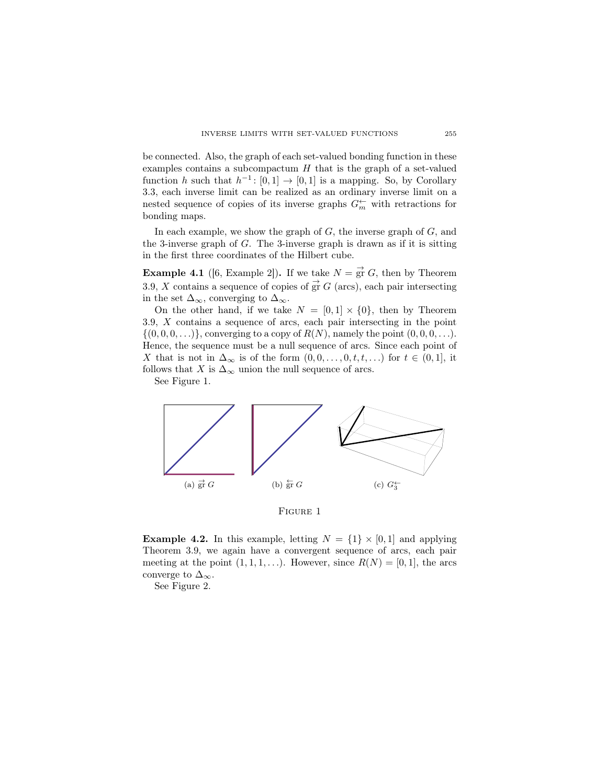be connected. Also, the graph of each set-valued bonding function in these examples contains a subcompactum *H* that is the graph of a set-valued function *h* such that  $h^{-1}$ : [0,1]  $\rightarrow$  [0,1] is a mapping. So, by Corollary 3.3, each inverse limit can be realized as an ordinary inverse limit on a nested sequence of copies of its inverse graphs  $G_{m}^{\leftarrow}$  with retractions for bonding maps.

In each example, we show the graph of *G*, the inverse graph of *G*, and the 3-inverse graph of *G*. The 3-inverse graph is drawn as if it is sitting in the first three coordinates of the Hilbert cube.

**Example 4.1** ([6, Example 2]). If we take  $N = \frac{1}{\mathfrak{S}^T} G$ , then by Theorem 3.9, *X* contains a sequence of copies of  $\vec{gr} G$  (arcs), each pair intersecting in the set  $\Delta_{\infty}$ , converging to  $\Delta_{\infty}$ .

On the other hand, if we take  $N = [0, 1] \times \{0\}$ , then by Theorem 3.9, *X* contains a sequence of arcs, each pair intersecting in the point  $\{(0,0,0,\ldots)\},$  converging to a copy of  $R(N)$ , namely the point  $(0,0,0,\ldots).$ Hence, the sequence must be a null sequence of arcs. Since each point of *X* that is not in  $\Delta_{\infty}$  is of the form  $(0,0,\ldots,0,t,t,\ldots)$  for  $t \in (0,1]$ , it follows that *X* is  $\Delta_{\infty}$  union the null sequence of arcs.

See Figure 1.



FIGURE 1

**Example 4.2.** In this example, letting  $N = \{1\} \times [0,1]$  and applying Theorem 3.9, we again have a convergent sequence of arcs, each pair meeting at the point  $(1, 1, 1, \ldots)$ . However, since  $R(N) = [0, 1]$ , the arcs converge to  $\Delta_{\infty}$ .

See Figure 2.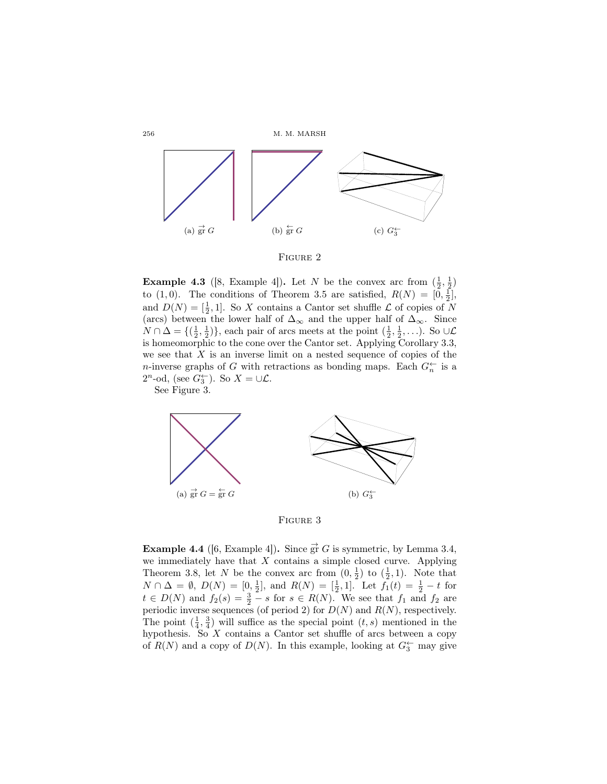

FIGURE 2

**Example 4.3** ([8, Example 4]). Let *N* be the convex arc from  $(\frac{1}{2}, \frac{1}{2})$ to (1,0). The conditions of Theorem 3.5 are satisfied,  $R(N) = [0, \frac{1}{2}]$ , and  $D(N) = \left[\frac{1}{2}, 1\right]$ . So *X* contains a Cantor set shuffle *L* of copies of *N* (arcs) between the lower half of  $\Delta_{\infty}$  and the upper half of  $\Delta_{\infty}$ . Since  $N \cap \Delta = \{(\frac{1}{2}, \frac{1}{2})\}$ , each pair of arcs meets at the point  $(\frac{1}{2}, \frac{1}{2}, \ldots)$ . So ∪ $\mathcal{L}$ is homeomorphic to the cone over the Cantor set. Applying Corollary 3.3, we see that *X* is an inverse limit on a nested sequence of copies of the *n*-inverse graphs of *G* with retractions as bonding maps. Each  $G_n^{\leftarrow}$  is a  $2^n$ -od, (see  $G_3^{\leftarrow}$ ). So  $X = \cup \mathcal{L}$ .

See Figure 3.





**Example 4.4** ([6, Example 4]). Since  $\vec{gr} G$  is symmetric, by Lemma 3.4, we immediately have that *X* contains a simple closed curve. Applying Theorem 3.8, let *N* be the convex arc from  $(0, \frac{1}{2})$  to  $(\frac{1}{2}, 1)$ . Note that  $N \cap \Delta = \emptyset$ ,  $D(N) = [0, \frac{1}{2}]$ , and  $R(N) = [\frac{1}{2}, 1]$ . Let  $f_1(t) = \frac{1}{2} - t$  for  $t \in D(N)$  and  $f_2(s) = \frac{3}{2} - s$  for  $s \in R(N)$ . We see that  $f_1$  and  $f_2$  are periodic inverse sequences (of period 2) for  $D(N)$  and  $R(N)$ , respectively. The point  $(\frac{1}{4}, \frac{3}{4})$  will suffice as the special point  $(t, s)$  mentioned in the hypothesis. So  $X$  contains a Cantor set shuffle of arcs between a copy of  $R(N)$  and a copy of  $D(N)$ . In this example, looking at  $G_3^{\leftarrow}$  may give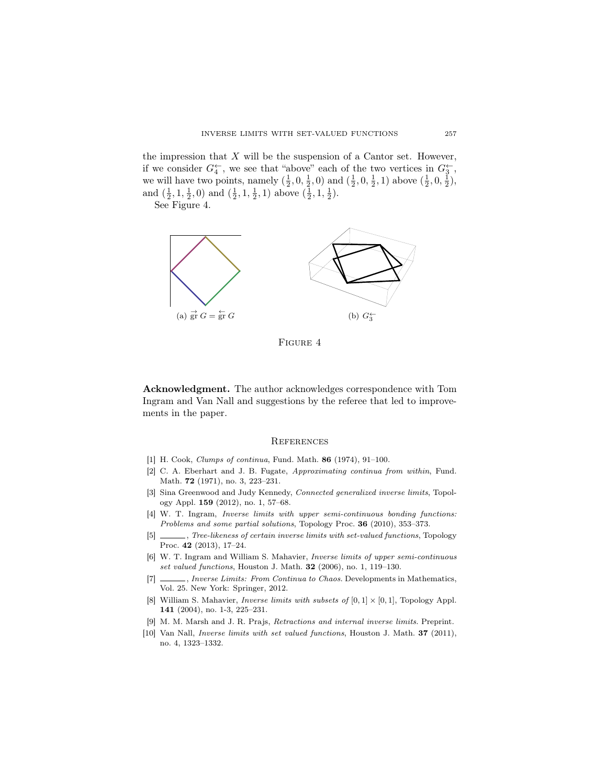the impression that  $X$  will be the suspension of a Cantor set. However, if we consider  $G_4^{\leftarrow}$ , we see that "above" each of the two vertices in  $G_3^{\leftarrow}$ , we will have two points, namely  $(\frac{1}{2}, 0, \frac{1}{2}, 0)$  and  $(\frac{1}{2}, 0, \frac{1}{2}, 1)$  above  $(\frac{1}{2}, 0, \frac{1}{2})$ , and  $(\frac{1}{2}, 1, \frac{1}{2}, 0)$  and  $(\frac{1}{2}, 1, \frac{1}{2}, 1)$  above  $(\frac{1}{2}, 1, \frac{1}{2})$ .

See Figure 4.



Figure 4

Acknowledgment. The author acknowledges correspondence with Tom Ingram and Van Nall and suggestions by the referee that led to improvements in the paper.

### **REFERENCES**

- [1] H. Cook, *Clumps of continua*, Fund. Math. 86 (1974), 91–100.
- [2] C. A. Eberhart and J. B. Fugate, *Approximating continua from within*, Fund. Math. 72 (1971), no. 3, 223–231.
- [3] Sina Greenwood and Judy Kennedy, *Connected generalized inverse limits*, Topology Appl. 159 (2012), no. 1, 57–68.
- [4] W. T. Ingram, *Inverse limits with upper semi-continuous bonding functions: Problems and some partial solutions*, Topology Proc. 36 (2010), 353–373.
- [5] , *Tree-likeness of certain inverse limits with set-valued functions*, Topology Proc. 42 (2013), 17–24.
- [6] W. T. Ingram and William S. Mahavier, *Inverse limits of upper semi-continuous set valued functions*, Houston J. Math. 32 (2006), no. 1, 119–130.
- [7] , *Inverse Limits: From Continua to Chaos*. Developments in Mathematics, Vol. 25. New York: Springer, 2012.
- [8] William S. Mahavier, *Inverse limits with subsets of*  $[0, 1] \times [0, 1]$ , Topology Appl. 141 (2004), no. 1-3, 225–231.
- [9] M. M. Marsh and J. R. Prajs, *Retractions and internal inverse limits*. Preprint.
- [10] Van Nall, *Inverse limits with set valued functions*, Houston J. Math. 37 (2011), no. 4, 1323–1332.